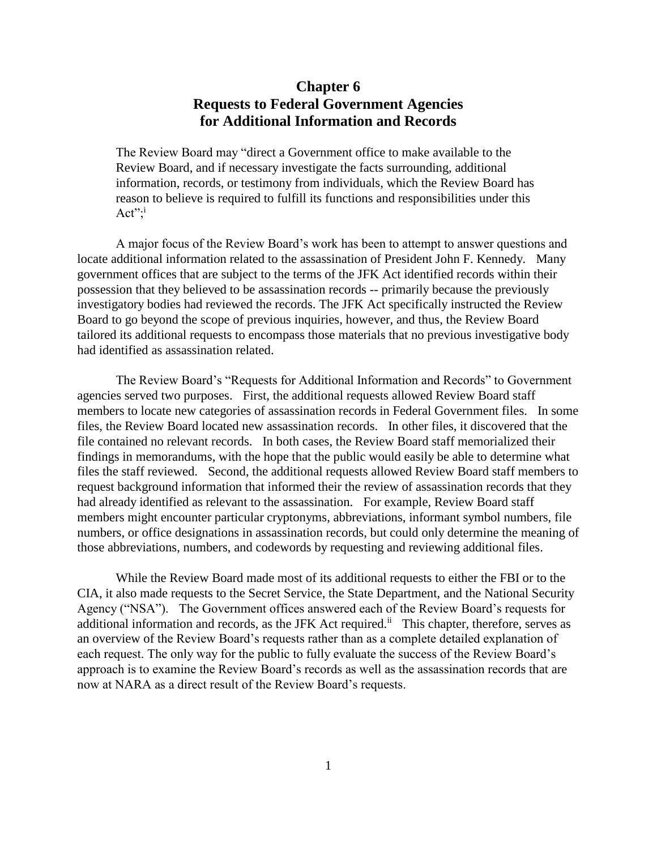# **Chapter 6 Requests to Federal Government Agencies for Additional Information and Records**

The Review Board may "direct a Government office to make available to the Review Board, and if necessary investigate the facts surrounding, additional information, records, or testimony from individuals, which the Review Board has reason to believe is required to fulfill its functions and responsibilities under this Act"; $i$ 

A major focus of the Review Board's work has been to attempt to answer questions and locate additional information related to the assassination of President John F. Kennedy. Many government offices that are subject to the terms of the JFK Act identified records within their possession that they believed to be assassination records -- primarily because the previously investigatory bodies had reviewed the records. The JFK Act specifically instructed the Review Board to go beyond the scope of previous inquiries, however, and thus, the Review Board tailored its additional requests to encompass those materials that no previous investigative body had identified as assassination related.

The Review Board's "Requests for Additional Information and Records" to Government agencies served two purposes. First, the additional requests allowed Review Board staff members to locate new categories of assassination records in Federal Government files. In some files, the Review Board located new assassination records. In other files, it discovered that the file contained no relevant records. In both cases, the Review Board staff memorialized their findings in memorandums, with the hope that the public would easily be able to determine what files the staff reviewed. Second, the additional requests allowed Review Board staff members to request background information that informed their the review of assassination records that they had already identified as relevant to the assassination. For example, Review Board staff members might encounter particular cryptonyms, abbreviations, informant symbol numbers, file numbers, or office designations in assassination records, but could only determine the meaning of those abbreviations, numbers, and codewords by requesting and reviewing additional files.

While the Review Board made most of its additional requests to either the FBI or to the CIA, it also made requests to the Secret Service, the State Department, and the National Security Agency ("NSA"). The Government offices answered each of the Review Board's requests for additional information and records, as the JFK Act required.<sup>ii</sup> This chapter, therefore, serves as an overview of the Review Board's requests rather than as a complete detailed explanation of each request. The only way for the public to fully evaluate the success of the Review Board's approach is to examine the Review Board's records as well as the assassination records that are now at NARA as a direct result of the Review Board's requests.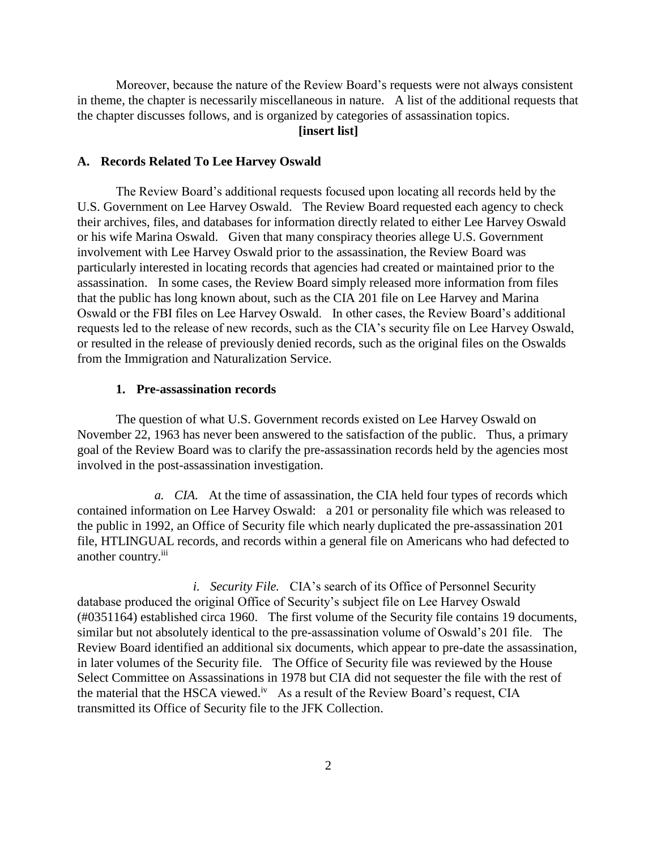Moreover, because the nature of the Review Board's requests were not always consistent in theme, the chapter is necessarily miscellaneous in nature. A list of the additional requests that the chapter discusses follows, and is organized by categories of assassination topics.

# **[insert list]**

## **A. Records Related To Lee Harvey Oswald**

The Review Board's additional requests focused upon locating all records held by the U.S. Government on Lee Harvey Oswald. The Review Board requested each agency to check their archives, files, and databases for information directly related to either Lee Harvey Oswald or his wife Marina Oswald. Given that many conspiracy theories allege U.S. Government involvement with Lee Harvey Oswald prior to the assassination, the Review Board was particularly interested in locating records that agencies had created or maintained prior to the assassination. In some cases, the Review Board simply released more information from files that the public has long known about, such as the CIA 201 file on Lee Harvey and Marina Oswald or the FBI files on Lee Harvey Oswald. In other cases, the Review Board's additional requests led to the release of new records, such as the CIA's security file on Lee Harvey Oswald, or resulted in the release of previously denied records, such as the original files on the Oswalds from the Immigration and Naturalization Service.

## **1. Pre-assassination records**

The question of what U.S. Government records existed on Lee Harvey Oswald on November 22, 1963 has never been answered to the satisfaction of the public. Thus, a primary goal of the Review Board was to clarify the pre-assassination records held by the agencies most involved in the post-assassination investigation.

*a. CIA.* At the time of assassination, the CIA held four types of records which contained information on Lee Harvey Oswald: a 201 or personality file which was released to the public in 1992, an Office of Security file which nearly duplicated the pre-assassination 201 file, HTLINGUAL records, and records within a general file on Americans who had defected to another country.<sup>iii</sup>

*i. Security File.* CIA's search of its Office of Personnel Security database produced the original Office of Security's subject file on Lee Harvey Oswald (#0351164) established circa 1960. The first volume of the Security file contains 19 documents, similar but not absolutely identical to the pre-assassination volume of Oswald's 201 file. The Review Board identified an additional six documents, which appear to pre-date the assassination, in later volumes of the Security file. The Office of Security file was reviewed by the House Select Committee on Assassinations in 1978 but CIA did not sequester the file with the rest of the material that the HSCA viewed.<sup>iv</sup> As a result of the Review Board's request, CIA transmitted its Office of Security file to the JFK Collection.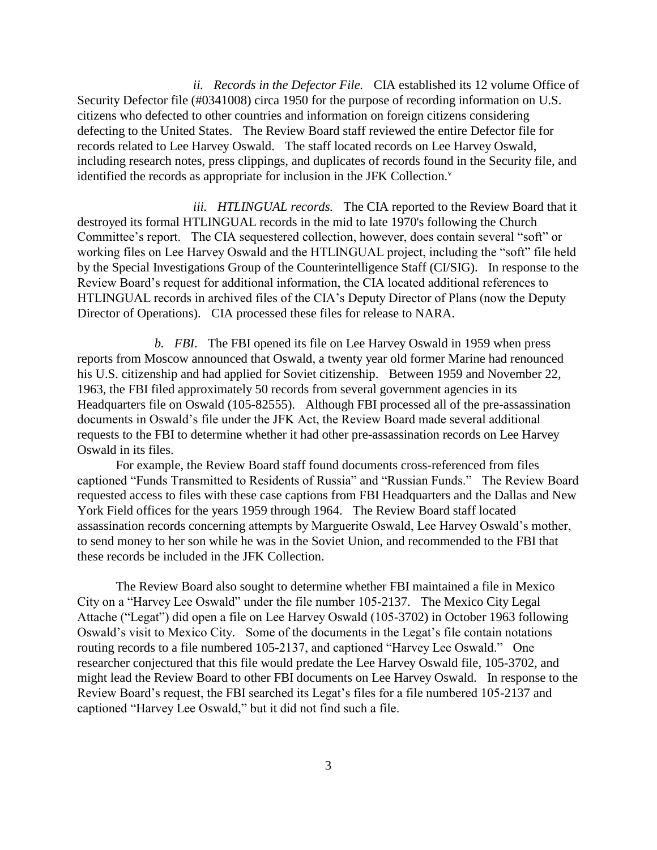*ii. Records in the Defector File.* CIA established its 12 volume Office of Security Defector file (#0341008) circa 1950 for the purpose of recording information on U.S. citizens who defected to other countries and information on foreign citizens considering defecting to the United States. The Review Board staff reviewed the entire Defector file for records related to Lee Harvey Oswald. The staff located records on Lee Harvey Oswald, including research notes, press clippings, and duplicates of records found in the Security file, and identified the records as appropriate for inclusion in the JFK Collection.<sup>v</sup>

*iii. HTLINGUAL records.* The CIA reported to the Review Board that it destroyed its formal HTLINGUAL records in the mid to late 1970's following the Church Committee's report. The CIA sequestered collection, however, does contain several "soft" or working files on Lee Harvey Oswald and the HTLINGUAL project, including the "soft" file held by the Special Investigations Group of the Counterintelligence Staff (CI/SIG). In response to the Review Board's request for additional information, the CIA located additional references to HTLINGUAL records in archived files of the CIA's Deputy Director of Plans (now the Deputy Director of Operations). CIA processed these files for release to NARA.

*b. FBI*. The FBI opened its file on Lee Harvey Oswald in 1959 when press reports from Moscow announced that Oswald, a twenty year old former Marine had renounced his U.S. citizenship and had applied for Soviet citizenship. Between 1959 and November 22, 1963, the FBI filed approximately 50 records from several government agencies in its Headquarters file on Oswald (105-82555). Although FBI processed all of the pre-assassination documents in Oswald's file under the JFK Act, the Review Board made several additional requests to the FBI to determine whether it had other pre-assassination records on Lee Harvey Oswald in its files.

For example, the Review Board staff found documents cross-referenced from files captioned "Funds Transmitted to Residents of Russia" and "Russian Funds." The Review Board requested access to files with these case captions from FBI Headquarters and the Dallas and New York Field offices for the years 1959 through 1964. The Review Board staff located assassination records concerning attempts by Marguerite Oswald, Lee Harvey Oswald's mother, to send money to her son while he was in the Soviet Union, and recommended to the FBI that these records be included in the JFK Collection.

The Review Board also sought to determine whether FBI maintained a file in Mexico City on a "Harvey Lee Oswald" under the file number 105-2137. The Mexico City Legal Attache ("Legat") did open a file on Lee Harvey Oswald (105-3702) in October 1963 following Oswald's visit to Mexico City. Some of the documents in the Legat's file contain notations routing records to a file numbered 105-2137, and captioned "Harvey Lee Oswald." One researcher conjectured that this file would predate the Lee Harvey Oswald file, 105-3702, and might lead the Review Board to other FBI documents on Lee Harvey Oswald. In response to the Review Board's request, the FBI searched its Legat's files for a file numbered 105-2137 and captioned "Harvey Lee Oswald," but it did not find such a file.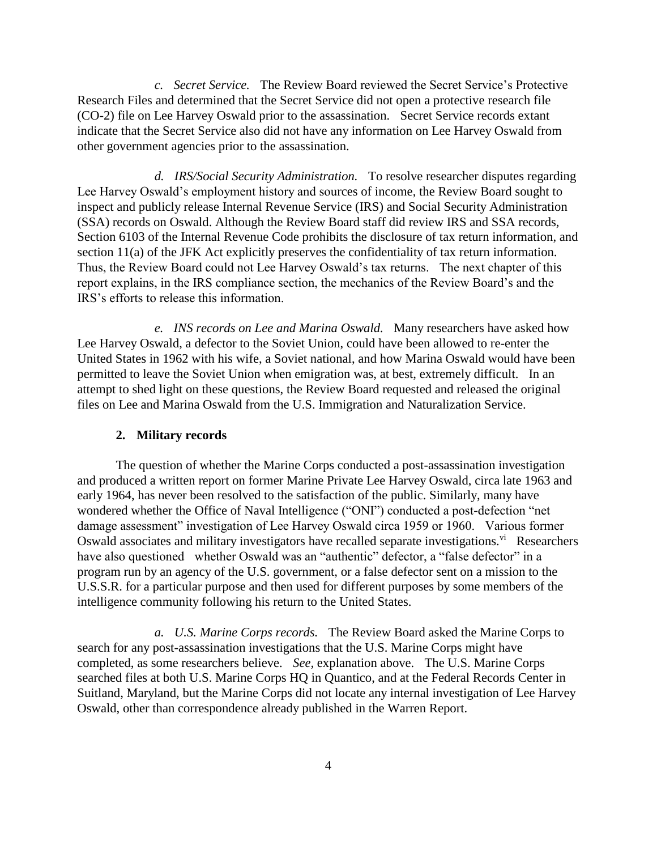*c. Secret Service.* The Review Board reviewed the Secret Service's Protective Research Files and determined that the Secret Service did not open a protective research file (CO-2) file on Lee Harvey Oswald prior to the assassination. Secret Service records extant indicate that the Secret Service also did not have any information on Lee Harvey Oswald from other government agencies prior to the assassination.

*d. IRS/Social Security Administration.* To resolve researcher disputes regarding Lee Harvey Oswald's employment history and sources of income, the Review Board sought to inspect and publicly release Internal Revenue Service (IRS) and Social Security Administration (SSA) records on Oswald. Although the Review Board staff did review IRS and SSA records, Section 6103 of the Internal Revenue Code prohibits the disclosure of tax return information, and section 11(a) of the JFK Act explicitly preserves the confidentiality of tax return information. Thus, the Review Board could not Lee Harvey Oswald's tax returns. The next chapter of this report explains, in the IRS compliance section, the mechanics of the Review Board's and the IRS's efforts to release this information.

*e. INS records on Lee and Marina Oswald.* Many researchers have asked how Lee Harvey Oswald, a defector to the Soviet Union, could have been allowed to re-enter the United States in 1962 with his wife, a Soviet national, and how Marina Oswald would have been permitted to leave the Soviet Union when emigration was, at best, extremely difficult. In an attempt to shed light on these questions, the Review Board requested and released the original files on Lee and Marina Oswald from the U.S. Immigration and Naturalization Service.

#### **2. Military records**

The question of whether the Marine Corps conducted a post-assassination investigation and produced a written report on former Marine Private Lee Harvey Oswald, circa late 1963 and early 1964, has never been resolved to the satisfaction of the public. Similarly, many have wondered whether the Office of Naval Intelligence ("ONI") conducted a post-defection "net damage assessment" investigation of Lee Harvey Oswald circa 1959 or 1960. Various former Oswald associates and military investigators have recalled separate investigations.<sup>vi</sup> Researchers have also questioned whether Oswald was an "authentic" defector, a "false defector" in a program run by an agency of the U.S. government, or a false defector sent on a mission to the U.S.S.R. for a particular purpose and then used for different purposes by some members of the intelligence community following his return to the United States.

*a. U.S. Marine Corps records.* The Review Board asked the Marine Corps to search for any post-assassination investigations that the U.S. Marine Corps might have completed, as some researchers believe. *See,* explanation above. The U.S. Marine Corps searched files at both U.S. Marine Corps HQ in Quantico, and at the Federal Records Center in Suitland, Maryland, but the Marine Corps did not locate any internal investigation of Lee Harvey Oswald, other than correspondence already published in the Warren Report.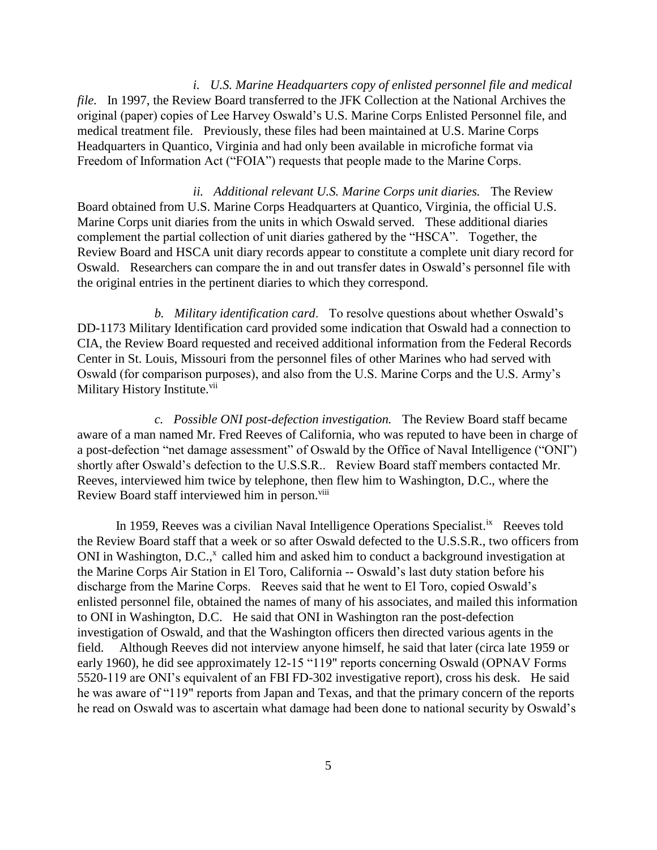*i. U.S. Marine Headquarters copy of enlisted personnel file and medical file.* In 1997, the Review Board transferred to the JFK Collection at the National Archives the original (paper) copies of Lee Harvey Oswald's U.S. Marine Corps Enlisted Personnel file, and medical treatment file. Previously, these files had been maintained at U.S. Marine Corps Headquarters in Quantico, Virginia and had only been available in microfiche format via Freedom of Information Act ("FOIA") requests that people made to the Marine Corps.

*ii. Additional relevant U.S. Marine Corps unit diaries.* The Review Board obtained from U.S. Marine Corps Headquarters at Quantico, Virginia, the official U.S. Marine Corps unit diaries from the units in which Oswald served. These additional diaries complement the partial collection of unit diaries gathered by the "HSCA". Together, the Review Board and HSCA unit diary records appear to constitute a complete unit diary record for Oswald. Researchers can compare the in and out transfer dates in Oswald's personnel file with the original entries in the pertinent diaries to which they correspond.

*b. Military identification card*. To resolve questions about whether Oswald's DD-1173 Military Identification card provided some indication that Oswald had a connection to CIA, the Review Board requested and received additional information from the Federal Records Center in St. Louis, Missouri from the personnel files of other Marines who had served with Oswald (for comparison purposes), and also from the U.S. Marine Corps and the U.S. Army's Military History Institute.<sup>vii</sup>

*c. Possible ONI post-defection investigation.* The Review Board staff became aware of a man named Mr. Fred Reeves of California, who was reputed to have been in charge of a post-defection "net damage assessment" of Oswald by the Office of Naval Intelligence ("ONI") shortly after Oswald's defection to the U.S.S.R.. Review Board staff members contacted Mr. Reeves, interviewed him twice by telephone, then flew him to Washington, D.C., where the Review Board staff interviewed him in person.<sup>viii</sup>

In 1959, Reeves was a civilian Naval Intelligence Operations Specialist.<sup>ix</sup> Reeves told the Review Board staff that a week or so after Oswald defected to the U.S.S.R., two officers from ONI in Washington, D.C.,<sup>x</sup> called him and asked him to conduct a background investigation at the Marine Corps Air Station in El Toro, California -- Oswald's last duty station before his discharge from the Marine Corps. Reeves said that he went to El Toro, copied Oswald's enlisted personnel file, obtained the names of many of his associates, and mailed this information to ONI in Washington, D.C. He said that ONI in Washington ran the post-defection investigation of Oswald, and that the Washington officers then directed various agents in the field. Although Reeves did not interview anyone himself, he said that later (circa late 1959 or early 1960), he did see approximately 12-15 "119" reports concerning Oswald (OPNAV Forms 5520-119 are ONI's equivalent of an FBI FD-302 investigative report), cross his desk. He said he was aware of "119" reports from Japan and Texas, and that the primary concern of the reports he read on Oswald was to ascertain what damage had been done to national security by Oswald's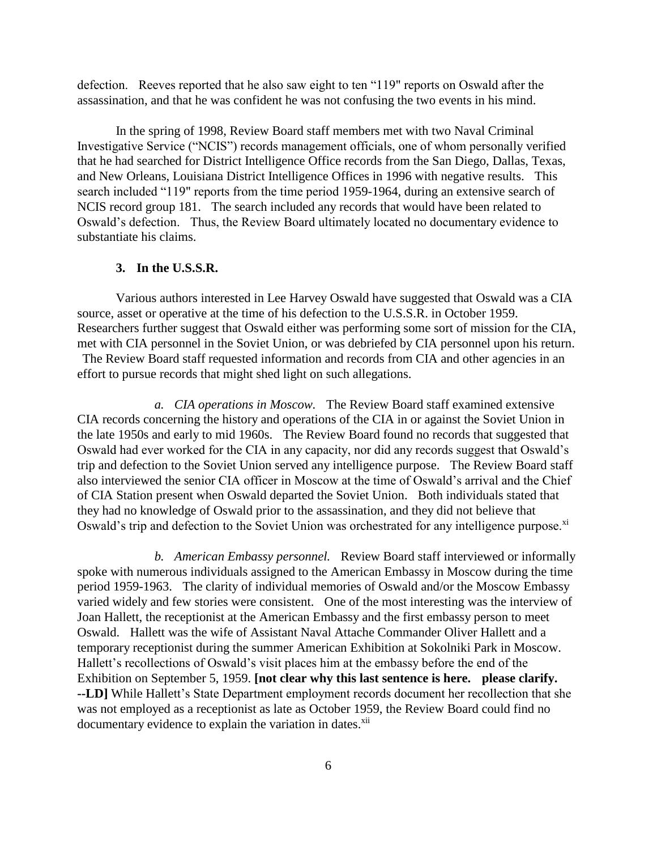defection. Reeves reported that he also saw eight to ten "119" reports on Oswald after the assassination, and that he was confident he was not confusing the two events in his mind.

In the spring of 1998, Review Board staff members met with two Naval Criminal Investigative Service ("NCIS") records management officials, one of whom personally verified that he had searched for District Intelligence Office records from the San Diego, Dallas, Texas, and New Orleans, Louisiana District Intelligence Offices in 1996 with negative results. This search included "119" reports from the time period 1959-1964, during an extensive search of NCIS record group 181. The search included any records that would have been related to Oswald's defection. Thus, the Review Board ultimately located no documentary evidence to substantiate his claims.

## **3. In the U.S.S.R.**

Various authors interested in Lee Harvey Oswald have suggested that Oswald was a CIA source, asset or operative at the time of his defection to the U.S.S.R. in October 1959. Researchers further suggest that Oswald either was performing some sort of mission for the CIA, met with CIA personnel in the Soviet Union, or was debriefed by CIA personnel upon his return. The Review Board staff requested information and records from CIA and other agencies in an effort to pursue records that might shed light on such allegations.

*a. CIA operations in Moscow.* The Review Board staff examined extensive CIA records concerning the history and operations of the CIA in or against the Soviet Union in the late 1950s and early to mid 1960s. The Review Board found no records that suggested that Oswald had ever worked for the CIA in any capacity, nor did any records suggest that Oswald's trip and defection to the Soviet Union served any intelligence purpose. The Review Board staff also interviewed the senior CIA officer in Moscow at the time of Oswald's arrival and the Chief of CIA Station present when Oswald departed the Soviet Union. Both individuals stated that they had no knowledge of Oswald prior to the assassination, and they did not believe that Oswald's trip and defection to the Soviet Union was orchestrated for any intelligence purpose.<sup>xi</sup>

*b. American Embassy personnel.* Review Board staff interviewed or informally spoke with numerous individuals assigned to the American Embassy in Moscow during the time period 1959-1963. The clarity of individual memories of Oswald and/or the Moscow Embassy varied widely and few stories were consistent. One of the most interesting was the interview of Joan Hallett, the receptionist at the American Embassy and the first embassy person to meet Oswald. Hallett was the wife of Assistant Naval Attache Commander Oliver Hallett and a temporary receptionist during the summer American Exhibition at Sokolniki Park in Moscow. Hallett's recollections of Oswald's visit places him at the embassy before the end of the Exhibition on September 5, 1959. **[not clear why this last sentence is here. please clarify. --LD]** While Hallett's State Department employment records document her recollection that she was not employed as a receptionist as late as October 1959, the Review Board could find no documentary evidence to explain the variation in dates.<sup>xii</sup>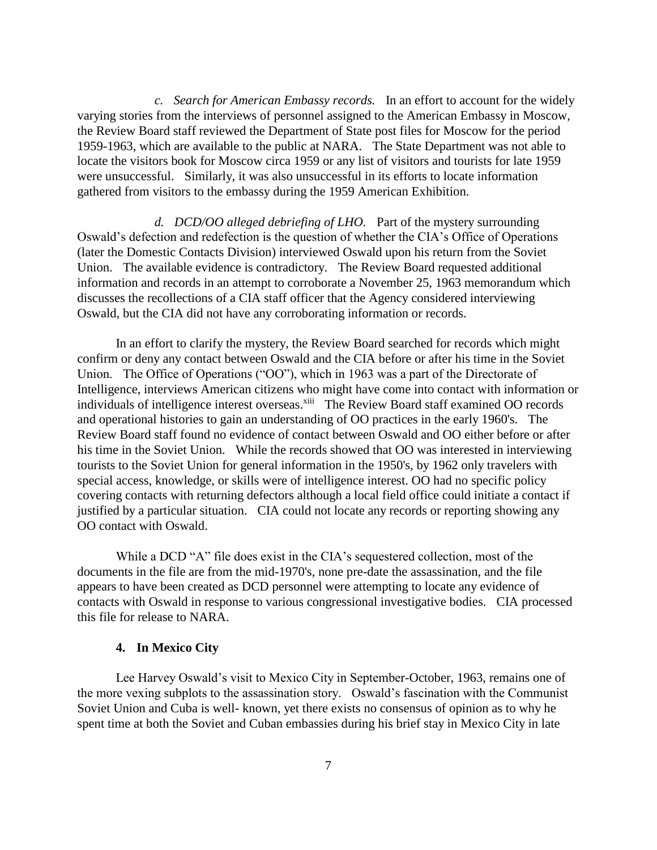*c. Search for American Embassy records.* In an effort to account for the widely varying stories from the interviews of personnel assigned to the American Embassy in Moscow, the Review Board staff reviewed the Department of State post files for Moscow for the period 1959-1963, which are available to the public at NARA. The State Department was not able to locate the visitors book for Moscow circa 1959 or any list of visitors and tourists for late 1959 were unsuccessful. Similarly, it was also unsuccessful in its efforts to locate information gathered from visitors to the embassy during the 1959 American Exhibition.

*d. DCD/OO alleged debriefing of LHO.* Part of the mystery surrounding Oswald's defection and redefection is the question of whether the CIA's Office of Operations (later the Domestic Contacts Division) interviewed Oswald upon his return from the Soviet Union. The available evidence is contradictory. The Review Board requested additional information and records in an attempt to corroborate a November 25, 1963 memorandum which discusses the recollections of a CIA staff officer that the Agency considered interviewing Oswald, but the CIA did not have any corroborating information or records.

In an effort to clarify the mystery, the Review Board searched for records which might confirm or deny any contact between Oswald and the CIA before or after his time in the Soviet Union. The Office of Operations ("OO"), which in 1963 was a part of the Directorate of Intelligence, interviews American citizens who might have come into contact with information or individuals of intelligence interest overseas.<sup>xiii</sup> The Review Board staff examined OO records and operational histories to gain an understanding of OO practices in the early 1960's. The Review Board staff found no evidence of contact between Oswald and OO either before or after his time in the Soviet Union. While the records showed that OO was interested in interviewing tourists to the Soviet Union for general information in the 1950's, by 1962 only travelers with special access, knowledge, or skills were of intelligence interest. OO had no specific policy covering contacts with returning defectors although a local field office could initiate a contact if justified by a particular situation. CIA could not locate any records or reporting showing any OO contact with Oswald.

While a DCD "A" file does exist in the CIA's sequestered collection, most of the documents in the file are from the mid-1970's, none pre-date the assassination, and the file appears to have been created as DCD personnel were attempting to locate any evidence of contacts with Oswald in response to various congressional investigative bodies. CIA processed this file for release to NARA.

## **4. In Mexico City**

Lee Harvey Oswald's visit to Mexico City in September-October, 1963, remains one of the more vexing subplots to the assassination story. Oswald's fascination with the Communist Soviet Union and Cuba is well- known, yet there exists no consensus of opinion as to why he spent time at both the Soviet and Cuban embassies during his brief stay in Mexico City in late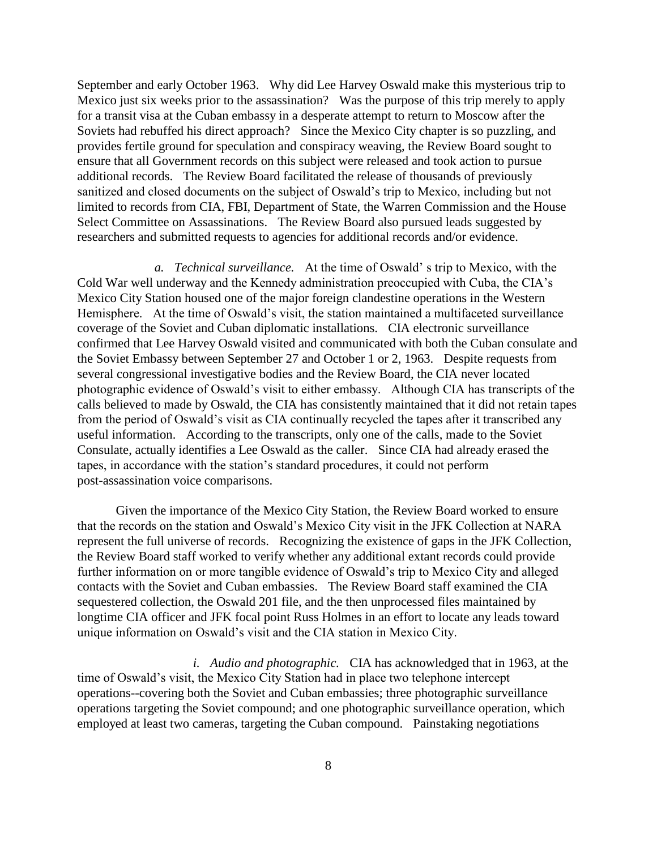September and early October 1963. Why did Lee Harvey Oswald make this mysterious trip to Mexico just six weeks prior to the assassination? Was the purpose of this trip merely to apply for a transit visa at the Cuban embassy in a desperate attempt to return to Moscow after the Soviets had rebuffed his direct approach? Since the Mexico City chapter is so puzzling, and provides fertile ground for speculation and conspiracy weaving, the Review Board sought to ensure that all Government records on this subject were released and took action to pursue additional records. The Review Board facilitated the release of thousands of previously sanitized and closed documents on the subject of Oswald's trip to Mexico, including but not limited to records from CIA, FBI, Department of State, the Warren Commission and the House Select Committee on Assassinations. The Review Board also pursued leads suggested by researchers and submitted requests to agencies for additional records and/or evidence.

*a. Technical surveillance.* At the time of Oswald' s trip to Mexico, with the Cold War well underway and the Kennedy administration preoccupied with Cuba, the CIA's Mexico City Station housed one of the major foreign clandestine operations in the Western Hemisphere. At the time of Oswald's visit, the station maintained a multifaceted surveillance coverage of the Soviet and Cuban diplomatic installations. CIA electronic surveillance confirmed that Lee Harvey Oswald visited and communicated with both the Cuban consulate and the Soviet Embassy between September 27 and October 1 or 2, 1963. Despite requests from several congressional investigative bodies and the Review Board, the CIA never located photographic evidence of Oswald's visit to either embassy. Although CIA has transcripts of the calls believed to made by Oswald, the CIA has consistently maintained that it did not retain tapes from the period of Oswald's visit as CIA continually recycled the tapes after it transcribed any useful information. According to the transcripts, only one of the calls, made to the Soviet Consulate, actually identifies a Lee Oswald as the caller. Since CIA had already erased the tapes, in accordance with the station's standard procedures, it could not perform post-assassination voice comparisons.

Given the importance of the Mexico City Station, the Review Board worked to ensure that the records on the station and Oswald's Mexico City visit in the JFK Collection at NARA represent the full universe of records. Recognizing the existence of gaps in the JFK Collection, the Review Board staff worked to verify whether any additional extant records could provide further information on or more tangible evidence of Oswald's trip to Mexico City and alleged contacts with the Soviet and Cuban embassies. The Review Board staff examined the CIA sequestered collection, the Oswald 201 file, and the then unprocessed files maintained by longtime CIA officer and JFK focal point Russ Holmes in an effort to locate any leads toward unique information on Oswald's visit and the CIA station in Mexico City.

*i. Audio and photographic.* CIA has acknowledged that in 1963, at the time of Oswald's visit, the Mexico City Station had in place two telephone intercept operations--covering both the Soviet and Cuban embassies; three photographic surveillance operations targeting the Soviet compound; and one photographic surveillance operation, which employed at least two cameras, targeting the Cuban compound. Painstaking negotiations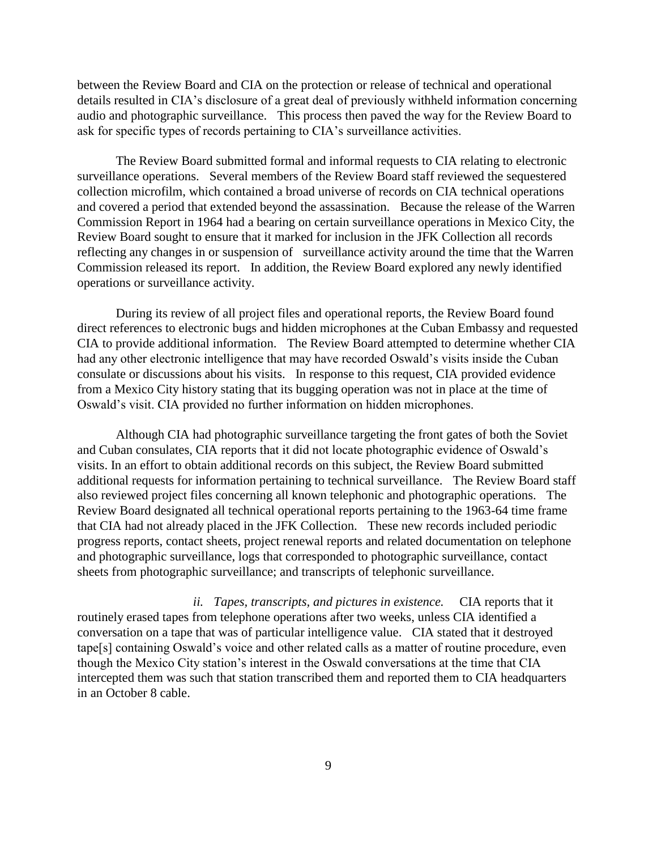between the Review Board and CIA on the protection or release of technical and operational details resulted in CIA's disclosure of a great deal of previously withheld information concerning audio and photographic surveillance. This process then paved the way for the Review Board to ask for specific types of records pertaining to CIA's surveillance activities.

The Review Board submitted formal and informal requests to CIA relating to electronic surveillance operations. Several members of the Review Board staff reviewed the sequestered collection microfilm, which contained a broad universe of records on CIA technical operations and covered a period that extended beyond the assassination. Because the release of the Warren Commission Report in 1964 had a bearing on certain surveillance operations in Mexico City, the Review Board sought to ensure that it marked for inclusion in the JFK Collection all records reflecting any changes in or suspension of surveillance activity around the time that the Warren Commission released its report. In addition, the Review Board explored any newly identified operations or surveillance activity.

During its review of all project files and operational reports, the Review Board found direct references to electronic bugs and hidden microphones at the Cuban Embassy and requested CIA to provide additional information. The Review Board attempted to determine whether CIA had any other electronic intelligence that may have recorded Oswald's visits inside the Cuban consulate or discussions about his visits. In response to this request, CIA provided evidence from a Mexico City history stating that its bugging operation was not in place at the time of Oswald's visit. CIA provided no further information on hidden microphones.

Although CIA had photographic surveillance targeting the front gates of both the Soviet and Cuban consulates, CIA reports that it did not locate photographic evidence of Oswald's visits. In an effort to obtain additional records on this subject, the Review Board submitted additional requests for information pertaining to technical surveillance. The Review Board staff also reviewed project files concerning all known telephonic and photographic operations. The Review Board designated all technical operational reports pertaining to the 1963-64 time frame that CIA had not already placed in the JFK Collection. These new records included periodic progress reports, contact sheets, project renewal reports and related documentation on telephone and photographic surveillance, logs that corresponded to photographic surveillance, contact sheets from photographic surveillance; and transcripts of telephonic surveillance.

*ii. Tapes, transcripts, and pictures in existence.* CIA reports that it routinely erased tapes from telephone operations after two weeks, unless CIA identified a conversation on a tape that was of particular intelligence value. CIA stated that it destroyed tape[s] containing Oswald's voice and other related calls as a matter of routine procedure, even though the Mexico City station's interest in the Oswald conversations at the time that CIA intercepted them was such that station transcribed them and reported them to CIA headquarters in an October 8 cable.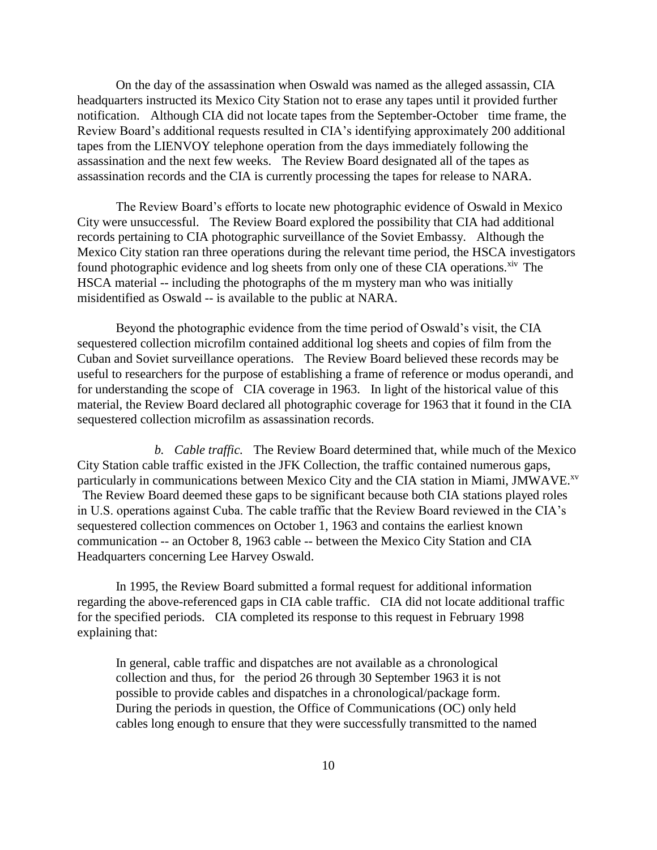On the day of the assassination when Oswald was named as the alleged assassin, CIA headquarters instructed its Mexico City Station not to erase any tapes until it provided further notification. Although CIA did not locate tapes from the September-October time frame, the Review Board's additional requests resulted in CIA's identifying approximately 200 additional tapes from the LIENVOY telephone operation from the days immediately following the assassination and the next few weeks. The Review Board designated all of the tapes as assassination records and the CIA is currently processing the tapes for release to NARA.

The Review Board's efforts to locate new photographic evidence of Oswald in Mexico City were unsuccessful. The Review Board explored the possibility that CIA had additional records pertaining to CIA photographic surveillance of the Soviet Embassy. Although the Mexico City station ran three operations during the relevant time period, the HSCA investigators found photographic evidence and log sheets from only one of these CIA operations.<sup>xiv</sup> The HSCA material -- including the photographs of the m mystery man who was initially misidentified as Oswald -- is available to the public at NARA.

Beyond the photographic evidence from the time period of Oswald's visit, the CIA sequestered collection microfilm contained additional log sheets and copies of film from the Cuban and Soviet surveillance operations. The Review Board believed these records may be useful to researchers for the purpose of establishing a frame of reference or modus operandi, and for understanding the scope of CIA coverage in 1963. In light of the historical value of this material, the Review Board declared all photographic coverage for 1963 that it found in the CIA sequestered collection microfilm as assassination records.

*b. Cable traffic.* The Review Board determined that, while much of the Mexico City Station cable traffic existed in the JFK Collection, the traffic contained numerous gaps, particularly in communications between Mexico City and the CIA station in Miami, JMWAVE.<sup>xv</sup> The Review Board deemed these gaps to be significant because both CIA stations played roles in U.S. operations against Cuba. The cable traffic that the Review Board reviewed in the CIA's sequestered collection commences on October 1, 1963 and contains the earliest known communication -- an October 8, 1963 cable -- between the Mexico City Station and CIA Headquarters concerning Lee Harvey Oswald.

In 1995, the Review Board submitted a formal request for additional information regarding the above-referenced gaps in CIA cable traffic. CIA did not locate additional traffic for the specified periods. CIA completed its response to this request in February 1998 explaining that:

In general, cable traffic and dispatches are not available as a chronological collection and thus, for the period 26 through 30 September 1963 it is not possible to provide cables and dispatches in a chronological/package form. During the periods in question, the Office of Communications (OC) only held cables long enough to ensure that they were successfully transmitted to the named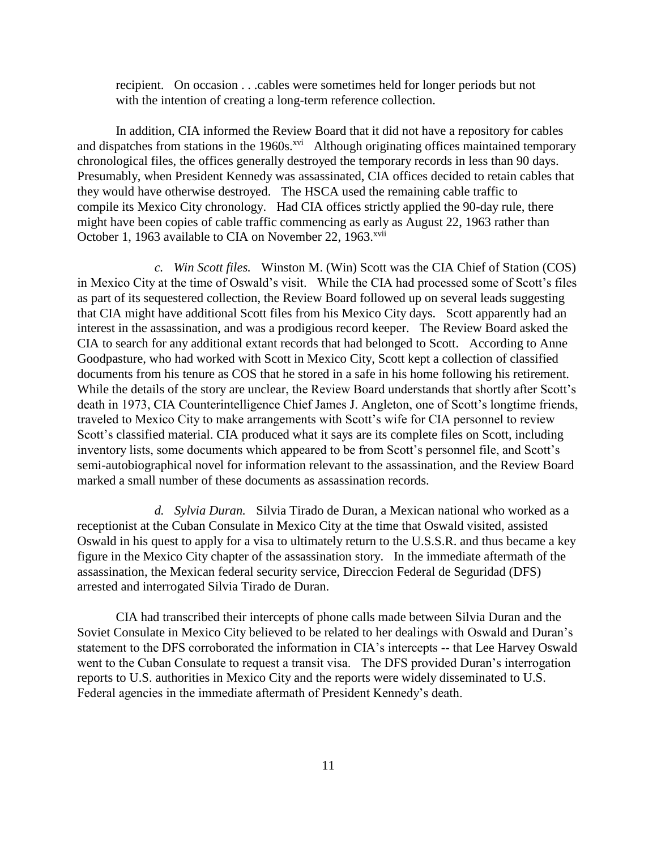recipient. On occasion . . .cables were sometimes held for longer periods but not with the intention of creating a long-term reference collection.

In addition, CIA informed the Review Board that it did not have a repository for cables and dispatches from stations in the 1960s.<sup>xvi</sup> Although originating offices maintained temporary chronological files, the offices generally destroyed the temporary records in less than 90 days. Presumably, when President Kennedy was assassinated, CIA offices decided to retain cables that they would have otherwise destroyed. The HSCA used the remaining cable traffic to compile its Mexico City chronology. Had CIA offices strictly applied the 90-day rule, there might have been copies of cable traffic commencing as early as August 22, 1963 rather than October 1, 1963 available to CIA on November 22, 1963.<sup>xvii</sup>

*c. Win Scott files.* Winston M. (Win) Scott was the CIA Chief of Station (COS) in Mexico City at the time of Oswald's visit. While the CIA had processed some of Scott's files as part of its sequestered collection, the Review Board followed up on several leads suggesting that CIA might have additional Scott files from his Mexico City days. Scott apparently had an interest in the assassination, and was a prodigious record keeper. The Review Board asked the CIA to search for any additional extant records that had belonged to Scott. According to Anne Goodpasture, who had worked with Scott in Mexico City, Scott kept a collection of classified documents from his tenure as COS that he stored in a safe in his home following his retirement. While the details of the story are unclear, the Review Board understands that shortly after Scott's death in 1973, CIA Counterintelligence Chief James J. Angleton, one of Scott's longtime friends, traveled to Mexico City to make arrangements with Scott's wife for CIA personnel to review Scott's classified material. CIA produced what it says are its complete files on Scott, including inventory lists, some documents which appeared to be from Scott's personnel file, and Scott's semi-autobiographical novel for information relevant to the assassination, and the Review Board marked a small number of these documents as assassination records.

*d. Sylvia Duran.* Silvia Tirado de Duran, a Mexican national who worked as a receptionist at the Cuban Consulate in Mexico City at the time that Oswald visited, assisted Oswald in his quest to apply for a visa to ultimately return to the U.S.S.R. and thus became a key figure in the Mexico City chapter of the assassination story. In the immediate aftermath of the assassination, the Mexican federal security service, Direccion Federal de Seguridad (DFS) arrested and interrogated Silvia Tirado de Duran.

CIA had transcribed their intercepts of phone calls made between Silvia Duran and the Soviet Consulate in Mexico City believed to be related to her dealings with Oswald and Duran's statement to the DFS corroborated the information in CIA's intercepts -- that Lee Harvey Oswald went to the Cuban Consulate to request a transit visa. The DFS provided Duran's interrogation reports to U.S. authorities in Mexico City and the reports were widely disseminated to U.S. Federal agencies in the immediate aftermath of President Kennedy's death.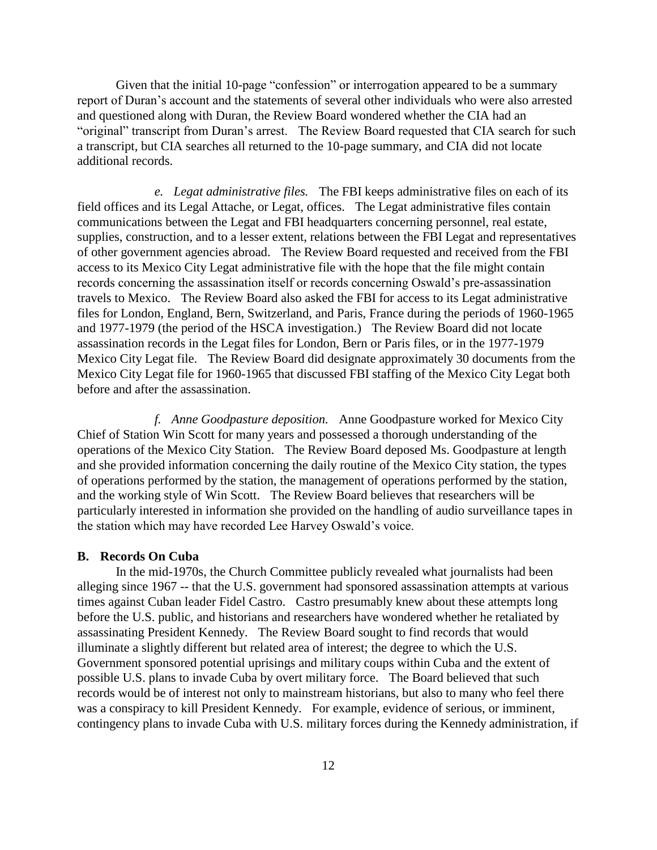Given that the initial 10-page "confession" or interrogation appeared to be a summary report of Duran's account and the statements of several other individuals who were also arrested and questioned along with Duran, the Review Board wondered whether the CIA had an "original" transcript from Duran's arrest. The Review Board requested that CIA search for such a transcript, but CIA searches all returned to the 10-page summary, and CIA did not locate additional records.

*e. Legat administrative files.* The FBI keeps administrative files on each of its field offices and its Legal Attache, or Legat, offices. The Legat administrative files contain communications between the Legat and FBI headquarters concerning personnel, real estate, supplies, construction, and to a lesser extent, relations between the FBI Legat and representatives of other government agencies abroad. The Review Board requested and received from the FBI access to its Mexico City Legat administrative file with the hope that the file might contain records concerning the assassination itself or records concerning Oswald's pre-assassination travels to Mexico. The Review Board also asked the FBI for access to its Legat administrative files for London, England, Bern, Switzerland, and Paris, France during the periods of 1960-1965 and 1977-1979 (the period of the HSCA investigation.) The Review Board did not locate assassination records in the Legat files for London, Bern or Paris files, or in the 1977-1979 Mexico City Legat file. The Review Board did designate approximately 30 documents from the Mexico City Legat file for 1960-1965 that discussed FBI staffing of the Mexico City Legat both before and after the assassination.

*f. Anne Goodpasture deposition.* Anne Goodpasture worked for Mexico City Chief of Station Win Scott for many years and possessed a thorough understanding of the operations of the Mexico City Station. The Review Board deposed Ms. Goodpasture at length and she provided information concerning the daily routine of the Mexico City station, the types of operations performed by the station, the management of operations performed by the station, and the working style of Win Scott. The Review Board believes that researchers will be particularly interested in information she provided on the handling of audio surveillance tapes in the station which may have recorded Lee Harvey Oswald's voice.

#### **B. Records On Cuba**

In the mid-1970s, the Church Committee publicly revealed what journalists had been alleging since 1967 -- that the U.S. government had sponsored assassination attempts at various times against Cuban leader Fidel Castro. Castro presumably knew about these attempts long before the U.S. public, and historians and researchers have wondered whether he retaliated by assassinating President Kennedy. The Review Board sought to find records that would illuminate a slightly different but related area of interest; the degree to which the U.S. Government sponsored potential uprisings and military coups within Cuba and the extent of possible U.S. plans to invade Cuba by overt military force. The Board believed that such records would be of interest not only to mainstream historians, but also to many who feel there was a conspiracy to kill President Kennedy. For example, evidence of serious, or imminent, contingency plans to invade Cuba with U.S. military forces during the Kennedy administration, if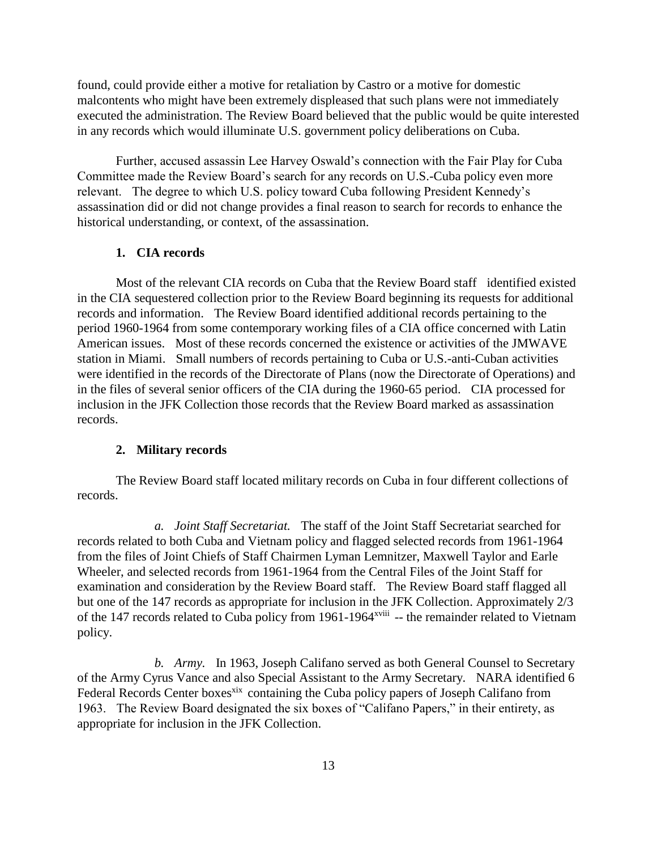found, could provide either a motive for retaliation by Castro or a motive for domestic malcontents who might have been extremely displeased that such plans were not immediately executed the administration. The Review Board believed that the public would be quite interested in any records which would illuminate U.S. government policy deliberations on Cuba.

Further, accused assassin Lee Harvey Oswald's connection with the Fair Play for Cuba Committee made the Review Board's search for any records on U.S.-Cuba policy even more relevant. The degree to which U.S. policy toward Cuba following President Kennedy's assassination did or did not change provides a final reason to search for records to enhance the historical understanding, or context, of the assassination.

## **1. CIA records**

Most of the relevant CIA records on Cuba that the Review Board staff identified existed in the CIA sequestered collection prior to the Review Board beginning its requests for additional records and information. The Review Board identified additional records pertaining to the period 1960-1964 from some contemporary working files of a CIA office concerned with Latin American issues. Most of these records concerned the existence or activities of the JMWAVE station in Miami. Small numbers of records pertaining to Cuba or U.S.-anti-Cuban activities were identified in the records of the Directorate of Plans (now the Directorate of Operations) and in the files of several senior officers of the CIA during the 1960-65 period. CIA processed for inclusion in the JFK Collection those records that the Review Board marked as assassination records.

## **2. Military records**

The Review Board staff located military records on Cuba in four different collections of records.

*a. Joint Staff Secretariat.* The staff of the Joint Staff Secretariat searched for records related to both Cuba and Vietnam policy and flagged selected records from 1961-1964 from the files of Joint Chiefs of Staff Chairmen Lyman Lemnitzer, Maxwell Taylor and Earle Wheeler, and selected records from 1961-1964 from the Central Files of the Joint Staff for examination and consideration by the Review Board staff. The Review Board staff flagged all but one of the 147 records as appropriate for inclusion in the JFK Collection. Approximately 2/3 of the 147 records related to Cuba policy from 1961-1964<sup>xviii</sup> -- the remainder related to Vietnam policy.

*b. Army.* In 1963, Joseph Califano served as both General Counsel to Secretary of the Army Cyrus Vance and also Special Assistant to the Army Secretary. NARA identified 6 Federal Records Center boxes<sup>xix</sup> containing the Cuba policy papers of Joseph Califano from 1963. The Review Board designated the six boxes of "Califano Papers," in their entirety, as appropriate for inclusion in the JFK Collection.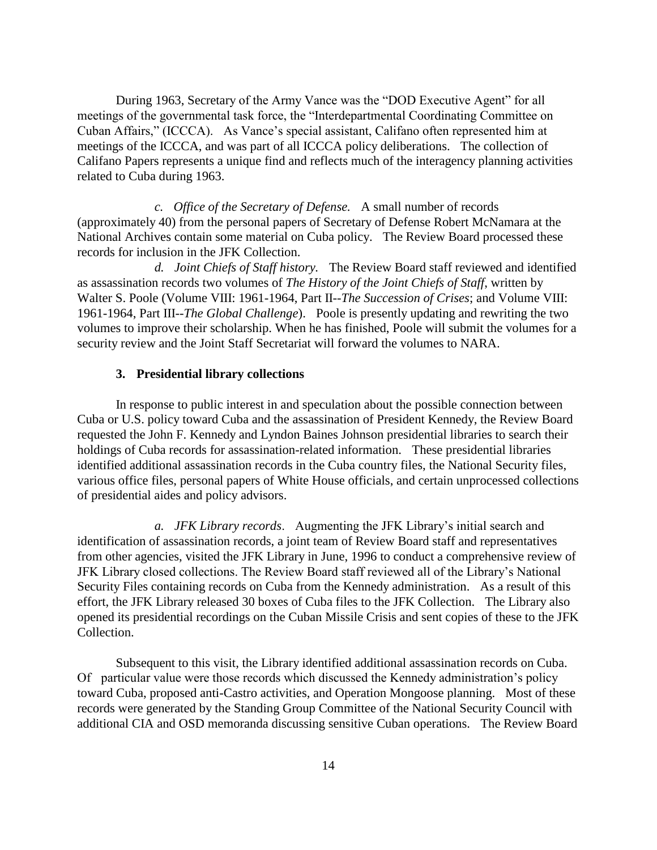During 1963, Secretary of the Army Vance was the "DOD Executive Agent" for all meetings of the governmental task force, the "Interdepartmental Coordinating Committee on Cuban Affairs," (ICCCA). As Vance's special assistant, Califano often represented him at meetings of the ICCCA, and was part of all ICCCA policy deliberations. The collection of Califano Papers represents a unique find and reflects much of the interagency planning activities related to Cuba during 1963.

*c. Office of the Secretary of Defense.* A small number of records (approximately 40) from the personal papers of Secretary of Defense Robert McNamara at the National Archives contain some material on Cuba policy. The Review Board processed these records for inclusion in the JFK Collection.

*d. Joint Chiefs of Staff history.* The Review Board staff reviewed and identified as assassination records two volumes of *The History of the Joint Chiefs of Staff*, written by Walter S. Poole (Volume VIII: 1961-1964, Part II-*-The Succession of Crises*; and Volume VIII: 1961-1964, Part III-*-The Global Challenge*). Poole is presently updating and rewriting the two volumes to improve their scholarship. When he has finished, Poole will submit the volumes for a security review and the Joint Staff Secretariat will forward the volumes to NARA.

#### **3. Presidential library collections**

In response to public interest in and speculation about the possible connection between Cuba or U.S. policy toward Cuba and the assassination of President Kennedy, the Review Board requested the John F. Kennedy and Lyndon Baines Johnson presidential libraries to search their holdings of Cuba records for assassination-related information. These presidential libraries identified additional assassination records in the Cuba country files, the National Security files, various office files, personal papers of White House officials, and certain unprocessed collections of presidential aides and policy advisors.

*a. JFK Library records*. Augmenting the JFK Library's initial search and identification of assassination records, a joint team of Review Board staff and representatives from other agencies, visited the JFK Library in June, 1996 to conduct a comprehensive review of JFK Library closed collections. The Review Board staff reviewed all of the Library's National Security Files containing records on Cuba from the Kennedy administration. As a result of this effort, the JFK Library released 30 boxes of Cuba files to the JFK Collection. The Library also opened its presidential recordings on the Cuban Missile Crisis and sent copies of these to the JFK Collection.

Subsequent to this visit, the Library identified additional assassination records on Cuba. Of particular value were those records which discussed the Kennedy administration's policy toward Cuba, proposed anti-Castro activities, and Operation Mongoose planning. Most of these records were generated by the Standing Group Committee of the National Security Council with additional CIA and OSD memoranda discussing sensitive Cuban operations. The Review Board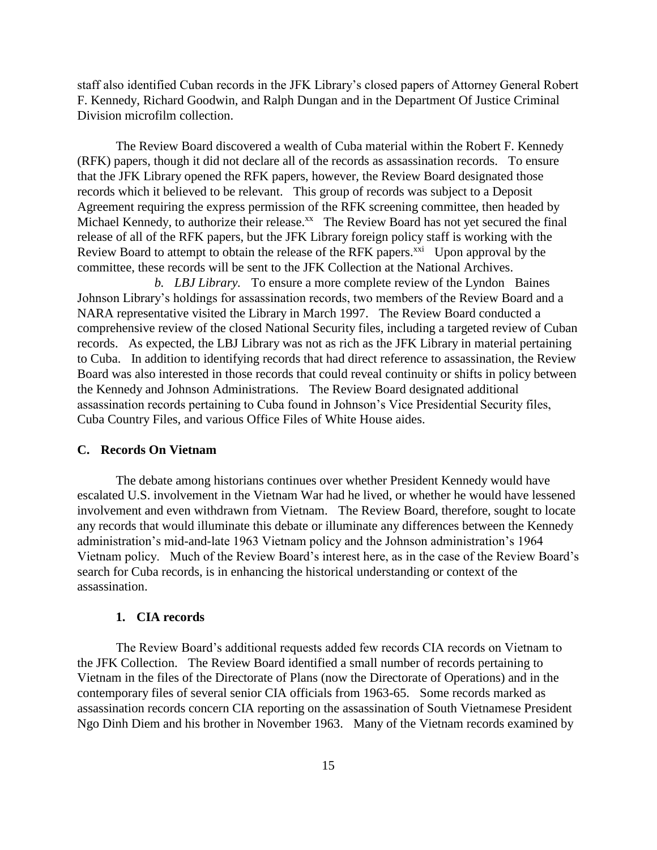staff also identified Cuban records in the JFK Library's closed papers of Attorney General Robert F. Kennedy, Richard Goodwin, and Ralph Dungan and in the Department Of Justice Criminal Division microfilm collection.

The Review Board discovered a wealth of Cuba material within the Robert F. Kennedy (RFK) papers, though it did not declare all of the records as assassination records. To ensure that the JFK Library opened the RFK papers, however, the Review Board designated those records which it believed to be relevant. This group of records was subject to a Deposit Agreement requiring the express permission of the RFK screening committee, then headed by Michael Kennedy, to authorize their release.<sup>xx</sup> The Review Board has not yet secured the final release of all of the RFK papers, but the JFK Library foreign policy staff is working with the Review Board to attempt to obtain the release of the RFK papers. $^{xxi}$  Upon approval by the committee, these records will be sent to the JFK Collection at the National Archives.

*b. LBJ Library.* To ensure a more complete review of the Lyndon Baines Johnson Library's holdings for assassination records, two members of the Review Board and a NARA representative visited the Library in March 1997. The Review Board conducted a comprehensive review of the closed National Security files, including a targeted review of Cuban records. As expected, the LBJ Library was not as rich as the JFK Library in material pertaining to Cuba. In addition to identifying records that had direct reference to assassination, the Review Board was also interested in those records that could reveal continuity or shifts in policy between the Kennedy and Johnson Administrations. The Review Board designated additional assassination records pertaining to Cuba found in Johnson's Vice Presidential Security files, Cuba Country Files, and various Office Files of White House aides.

## **C. Records On Vietnam**

The debate among historians continues over whether President Kennedy would have escalated U.S. involvement in the Vietnam War had he lived, or whether he would have lessened involvement and even withdrawn from Vietnam. The Review Board, therefore, sought to locate any records that would illuminate this debate or illuminate any differences between the Kennedy administration's mid-and-late 1963 Vietnam policy and the Johnson administration's 1964 Vietnam policy. Much of the Review Board's interest here, as in the case of the Review Board's search for Cuba records, is in enhancing the historical understanding or context of the assassination.

## **1. CIA records**

The Review Board's additional requests added few records CIA records on Vietnam to the JFK Collection. The Review Board identified a small number of records pertaining to Vietnam in the files of the Directorate of Plans (now the Directorate of Operations) and in the contemporary files of several senior CIA officials from 1963-65. Some records marked as assassination records concern CIA reporting on the assassination of South Vietnamese President Ngo Dinh Diem and his brother in November 1963. Many of the Vietnam records examined by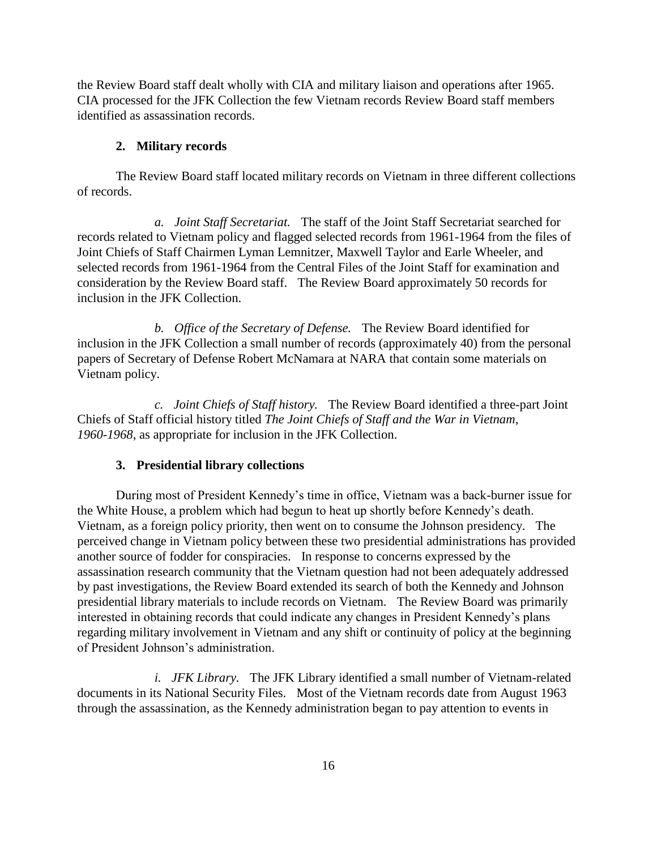the Review Board staff dealt wholly with CIA and military liaison and operations after 1965. CIA processed for the JFK Collection the few Vietnam records Review Board staff members identified as assassination records.

#### **2. Military records**

The Review Board staff located military records on Vietnam in three different collections of records.

*a. Joint Staff Secretariat.* The staff of the Joint Staff Secretariat searched for records related to Vietnam policy and flagged selected records from 1961-1964 from the files of Joint Chiefs of Staff Chairmen Lyman Lemnitzer, Maxwell Taylor and Earle Wheeler, and selected records from 1961-1964 from the Central Files of the Joint Staff for examination and consideration by the Review Board staff. The Review Board approximately 50 records for inclusion in the JFK Collection.

*b. Office of the Secretary of Defense.* The Review Board identified for inclusion in the JFK Collection a small number of records (approximately 40) from the personal papers of Secretary of Defense Robert McNamara at NARA that contain some materials on Vietnam policy.

*c. Joint Chiefs of Staff history.* The Review Board identified a three-part Joint Chiefs of Staff official history titled *The Joint Chiefs of Staff and the War in Vietnam, 1960-1968*, as appropriate for inclusion in the JFK Collection.

#### **3. Presidential library collections**

During most of President Kennedy's time in office, Vietnam was a back-burner issue for the White House, a problem which had begun to heat up shortly before Kennedy's death. Vietnam, as a foreign policy priority, then went on to consume the Johnson presidency. The perceived change in Vietnam policy between these two presidential administrations has provided another source of fodder for conspiracies. In response to concerns expressed by the assassination research community that the Vietnam question had not been adequately addressed by past investigations, the Review Board extended its search of both the Kennedy and Johnson presidential library materials to include records on Vietnam. The Review Board was primarily interested in obtaining records that could indicate any changes in President Kennedy's plans regarding military involvement in Vietnam and any shift or continuity of policy at the beginning of President Johnson's administration.

*i. JFK Library.* The JFK Library identified a small number of Vietnam-related documents in its National Security Files. Most of the Vietnam records date from August 1963 through the assassination, as the Kennedy administration began to pay attention to events in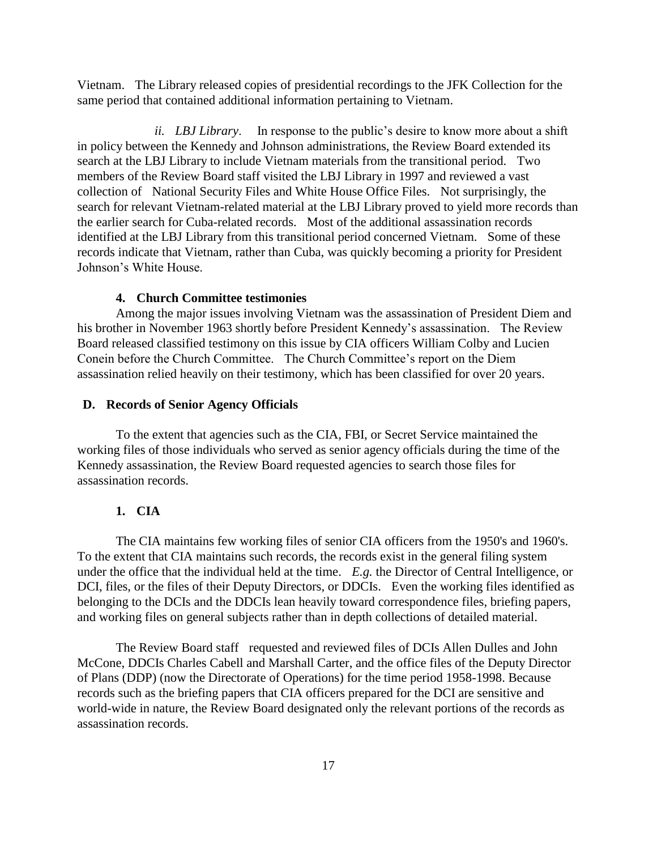Vietnam. The Library released copies of presidential recordings to the JFK Collection for the same period that contained additional information pertaining to Vietnam.

*ii. LBJ Library*. In response to the public's desire to know more about a shift in policy between the Kennedy and Johnson administrations, the Review Board extended its search at the LBJ Library to include Vietnam materials from the transitional period. Two members of the Review Board staff visited the LBJ Library in 1997 and reviewed a vast collection of National Security Files and White House Office Files. Not surprisingly, the search for relevant Vietnam-related material at the LBJ Library proved to yield more records than the earlier search for Cuba-related records. Most of the additional assassination records identified at the LBJ Library from this transitional period concerned Vietnam. Some of these records indicate that Vietnam, rather than Cuba, was quickly becoming a priority for President Johnson's White House.

## **4. Church Committee testimonies**

Among the major issues involving Vietnam was the assassination of President Diem and his brother in November 1963 shortly before President Kennedy's assassination. The Review Board released classified testimony on this issue by CIA officers William Colby and Lucien Conein before the Church Committee. The Church Committee's report on the Diem assassination relied heavily on their testimony, which has been classified for over 20 years.

## **D. Records of Senior Agency Officials**

To the extent that agencies such as the CIA, FBI, or Secret Service maintained the working files of those individuals who served as senior agency officials during the time of the Kennedy assassination, the Review Board requested agencies to search those files for assassination records.

## **1. CIA**

The CIA maintains few working files of senior CIA officers from the 1950's and 1960's. To the extent that CIA maintains such records, the records exist in the general filing system under the office that the individual held at the time. *E.g.* the Director of Central Intelligence, or DCI, files, or the files of their Deputy Directors, or DDCIs. Even the working files identified as belonging to the DCIs and the DDCIs lean heavily toward correspondence files, briefing papers, and working files on general subjects rather than in depth collections of detailed material.

The Review Board staff requested and reviewed files of DCIs Allen Dulles and John McCone, DDCIs Charles Cabell and Marshall Carter, and the office files of the Deputy Director of Plans (DDP) (now the Directorate of Operations) for the time period 1958-1998. Because records such as the briefing papers that CIA officers prepared for the DCI are sensitive and world-wide in nature, the Review Board designated only the relevant portions of the records as assassination records.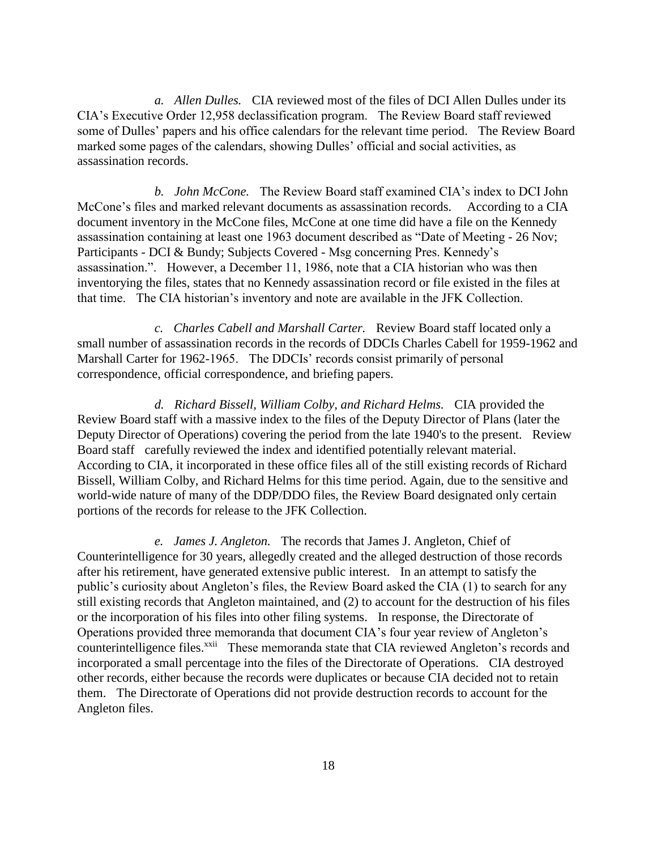*a. Allen Dulles.* CIA reviewed most of the files of DCI Allen Dulles under its CIA's Executive Order 12,958 declassification program. The Review Board staff reviewed some of Dulles' papers and his office calendars for the relevant time period. The Review Board marked some pages of the calendars, showing Dulles' official and social activities, as assassination records.

*b. John McCone.* The Review Board staff examined CIA's index to DCI John McCone's files and marked relevant documents as assassination records. According to a CIA document inventory in the McCone files, McCone at one time did have a file on the Kennedy assassination containing at least one 1963 document described as "Date of Meeting - 26 Nov; Participants - DCI & Bundy; Subjects Covered - Msg concerning Pres. Kennedy's assassination.". However, a December 11, 1986, note that a CIA historian who was then inventorying the files, states that no Kennedy assassination record or file existed in the files at that time. The CIA historian's inventory and note are available in the JFK Collection.

*c. Charles Cabell and Marshall Carter.* Review Board staff located only a small number of assassination records in the records of DDCIs Charles Cabell for 1959-1962 and Marshall Carter for 1962-1965. The DDCIs' records consist primarily of personal correspondence, official correspondence, and briefing papers.

*d. Richard Bissell, William Colby, and Richard Helms.* CIA provided the Review Board staff with a massive index to the files of the Deputy Director of Plans (later the Deputy Director of Operations) covering the period from the late 1940's to the present. Review Board staff carefully reviewed the index and identified potentially relevant material. According to CIA, it incorporated in these office files all of the still existing records of Richard Bissell, William Colby, and Richard Helms for this time period. Again, due to the sensitive and world-wide nature of many of the DDP/DDO files, the Review Board designated only certain portions of the records for release to the JFK Collection.

*e. James J. Angleton.* The records that James J. Angleton, Chief of Counterintelligence for 30 years, allegedly created and the alleged destruction of those records after his retirement, have generated extensive public interest. In an attempt to satisfy the public's curiosity about Angleton's files, the Review Board asked the CIA (1) to search for any still existing records that Angleton maintained, and (2) to account for the destruction of his files or the incorporation of his files into other filing systems. In response, the Directorate of Operations provided three memoranda that document CIA's four year review of Angleton's counterintelligence files.<sup>xxii</sup> These memoranda state that CIA reviewed Angleton's records and incorporated a small percentage into the files of the Directorate of Operations. CIA destroyed other records, either because the records were duplicates or because CIA decided not to retain them. The Directorate of Operations did not provide destruction records to account for the Angleton files.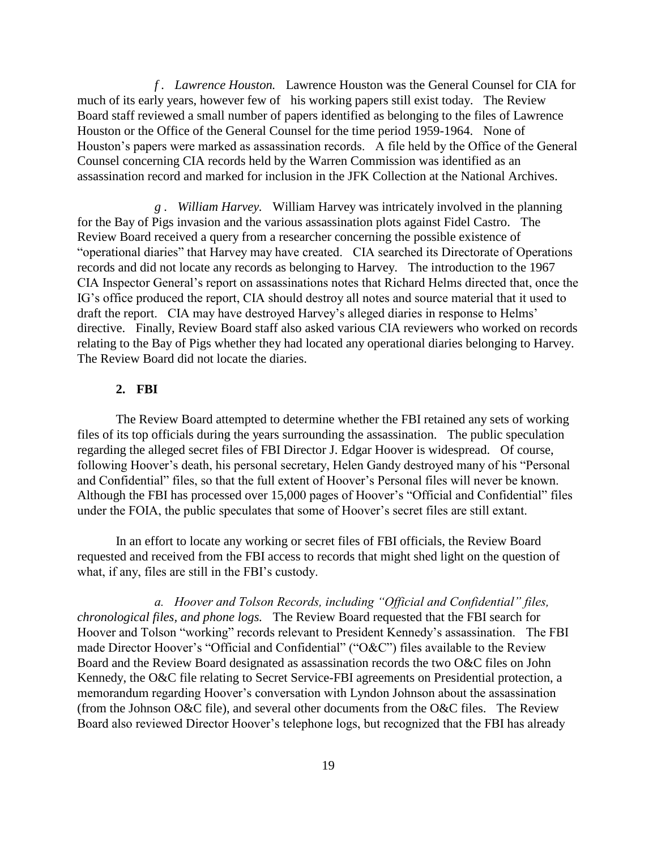*f . Lawrence Houston.* Lawrence Houston was the General Counsel for CIA for much of its early years, however few of his working papers still exist today. The Review Board staff reviewed a small number of papers identified as belonging to the files of Lawrence Houston or the Office of the General Counsel for the time period 1959-1964. None of Houston's papers were marked as assassination records. A file held by the Office of the General Counsel concerning CIA records held by the Warren Commission was identified as an assassination record and marked for inclusion in the JFK Collection at the National Archives.

*g . William Harvey.* William Harvey was intricately involved in the planning for the Bay of Pigs invasion and the various assassination plots against Fidel Castro. The Review Board received a query from a researcher concerning the possible existence of "operational diaries" that Harvey may have created. CIA searched its Directorate of Operations records and did not locate any records as belonging to Harvey. The introduction to the 1967 CIA Inspector General's report on assassinations notes that Richard Helms directed that, once the IG's office produced the report, CIA should destroy all notes and source material that it used to draft the report. CIA may have destroyed Harvey's alleged diaries in response to Helms' directive. Finally, Review Board staff also asked various CIA reviewers who worked on records relating to the Bay of Pigs whether they had located any operational diaries belonging to Harvey. The Review Board did not locate the diaries.

## **2. FBI**

The Review Board attempted to determine whether the FBI retained any sets of working files of its top officials during the years surrounding the assassination. The public speculation regarding the alleged secret files of FBI Director J. Edgar Hoover is widespread. Of course, following Hoover's death, his personal secretary, Helen Gandy destroyed many of his "Personal and Confidential" files, so that the full extent of Hoover's Personal files will never be known. Although the FBI has processed over 15,000 pages of Hoover's "Official and Confidential" files under the FOIA, the public speculates that some of Hoover's secret files are still extant.

In an effort to locate any working or secret files of FBI officials, the Review Board requested and received from the FBI access to records that might shed light on the question of what, if any, files are still in the FBI's custody.

*a. Hoover and Tolson Records, including "Official and Confidential" files, chronological files, and phone logs.* The Review Board requested that the FBI search for Hoover and Tolson "working" records relevant to President Kennedy's assassination. The FBI made Director Hoover's "Official and Confidential" ("O&C") files available to the Review Board and the Review Board designated as assassination records the two O&C files on John Kennedy, the O&C file relating to Secret Service-FBI agreements on Presidential protection, a memorandum regarding Hoover's conversation with Lyndon Johnson about the assassination (from the Johnson O&C file), and several other documents from the O&C files. The Review Board also reviewed Director Hoover's telephone logs, but recognized that the FBI has already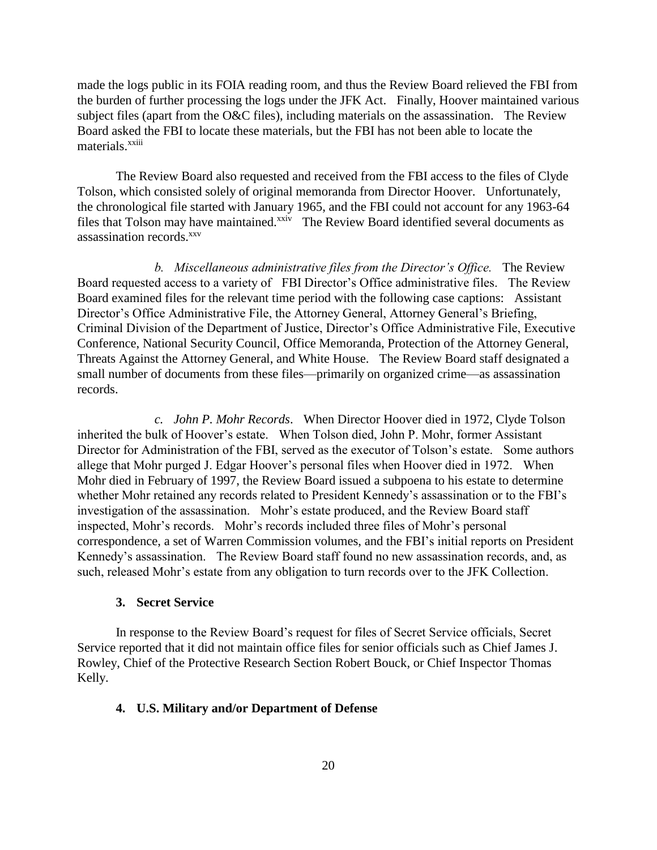made the logs public in its FOIA reading room, and thus the Review Board relieved the FBI from the burden of further processing the logs under the JFK Act. Finally, Hoover maintained various subject files (apart from the O&C files), including materials on the assassination. The Review Board asked the FBI to locate these materials, but the FBI has not been able to locate the materials.<sup>xxiii</sup>

The Review Board also requested and received from the FBI access to the files of Clyde Tolson, which consisted solely of original memoranda from Director Hoover. Unfortunately, the chronological file started with January 1965, and the FBI could not account for any 1963-64 files that Tolson may have maintained.<sup>xxiv</sup> The Review Board identified several documents as assassination records.<sup>xxv</sup>

*b. Miscellaneous administrative files from the Director's Office.* The Review Board requested access to a variety of FBI Director's Office administrative files. The Review Board examined files for the relevant time period with the following case captions: Assistant Director's Office Administrative File, the Attorney General, Attorney General's Briefing, Criminal Division of the Department of Justice, Director's Office Administrative File, Executive Conference, National Security Council, Office Memoranda, Protection of the Attorney General, Threats Against the Attorney General, and White House. The Review Board staff designated a small number of documents from these files—primarily on organized crime—as assassination records.

*c. John P. Mohr Records*. When Director Hoover died in 1972, Clyde Tolson inherited the bulk of Hoover's estate. When Tolson died, John P. Mohr, former Assistant Director for Administration of the FBI, served as the executor of Tolson's estate. Some authors allege that Mohr purged J. Edgar Hoover's personal files when Hoover died in 1972. When Mohr died in February of 1997, the Review Board issued a subpoena to his estate to determine whether Mohr retained any records related to President Kennedy's assassination or to the FBI's investigation of the assassination. Mohr's estate produced, and the Review Board staff inspected, Mohr's records. Mohr's records included three files of Mohr's personal correspondence, a set of Warren Commission volumes, and the FBI's initial reports on President Kennedy's assassination. The Review Board staff found no new assassination records, and, as such, released Mohr's estate from any obligation to turn records over to the JFK Collection.

## **3. Secret Service**

In response to the Review Board's request for files of Secret Service officials, Secret Service reported that it did not maintain office files for senior officials such as Chief James J. Rowley, Chief of the Protective Research Section Robert Bouck, or Chief Inspector Thomas Kelly.

### **4. U.S. Military and/or Department of Defense**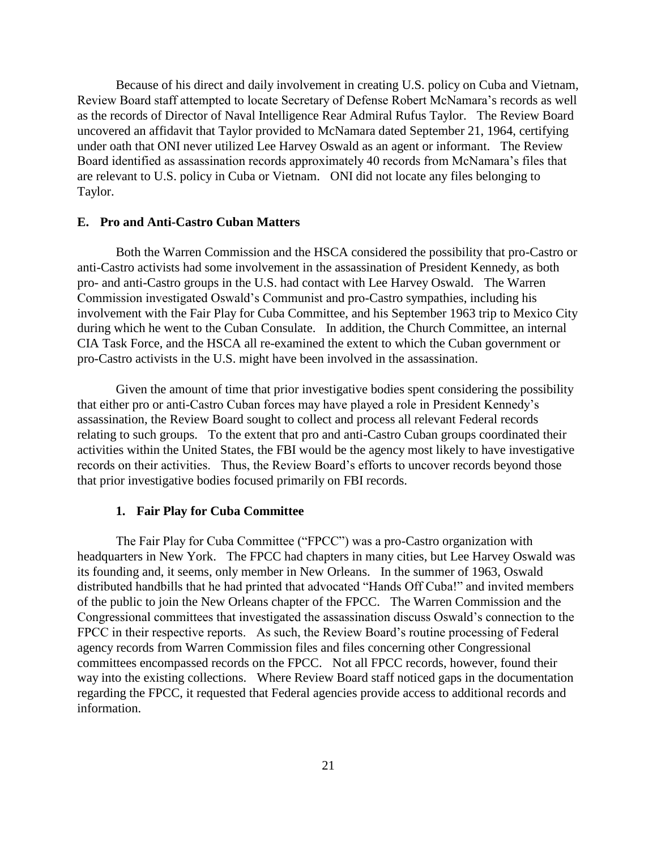Because of his direct and daily involvement in creating U.S. policy on Cuba and Vietnam, Review Board staff attempted to locate Secretary of Defense Robert McNamara's records as well as the records of Director of Naval Intelligence Rear Admiral Rufus Taylor. The Review Board uncovered an affidavit that Taylor provided to McNamara dated September 21, 1964, certifying under oath that ONI never utilized Lee Harvey Oswald as an agent or informant. The Review Board identified as assassination records approximately 40 records from McNamara's files that are relevant to U.S. policy in Cuba or Vietnam. ONI did not locate any files belonging to Taylor.

### **E. Pro and Anti-Castro Cuban Matters**

Both the Warren Commission and the HSCA considered the possibility that pro-Castro or anti-Castro activists had some involvement in the assassination of President Kennedy, as both pro- and anti-Castro groups in the U.S. had contact with Lee Harvey Oswald. The Warren Commission investigated Oswald's Communist and pro-Castro sympathies, including his involvement with the Fair Play for Cuba Committee, and his September 1963 trip to Mexico City during which he went to the Cuban Consulate. In addition, the Church Committee, an internal CIA Task Force, and the HSCA all re-examined the extent to which the Cuban government or pro-Castro activists in the U.S. might have been involved in the assassination.

Given the amount of time that prior investigative bodies spent considering the possibility that either pro or anti-Castro Cuban forces may have played a role in President Kennedy's assassination, the Review Board sought to collect and process all relevant Federal records relating to such groups. To the extent that pro and anti-Castro Cuban groups coordinated their activities within the United States, the FBI would be the agency most likely to have investigative records on their activities. Thus, the Review Board's efforts to uncover records beyond those that prior investigative bodies focused primarily on FBI records.

### **1. Fair Play for Cuba Committee**

The Fair Play for Cuba Committee ("FPCC") was a pro-Castro organization with headquarters in New York. The FPCC had chapters in many cities, but Lee Harvey Oswald was its founding and, it seems, only member in New Orleans. In the summer of 1963, Oswald distributed handbills that he had printed that advocated "Hands Off Cuba!" and invited members of the public to join the New Orleans chapter of the FPCC. The Warren Commission and the Congressional committees that investigated the assassination discuss Oswald's connection to the FPCC in their respective reports. As such, the Review Board's routine processing of Federal agency records from Warren Commission files and files concerning other Congressional committees encompassed records on the FPCC. Not all FPCC records, however, found their way into the existing collections. Where Review Board staff noticed gaps in the documentation regarding the FPCC, it requested that Federal agencies provide access to additional records and information.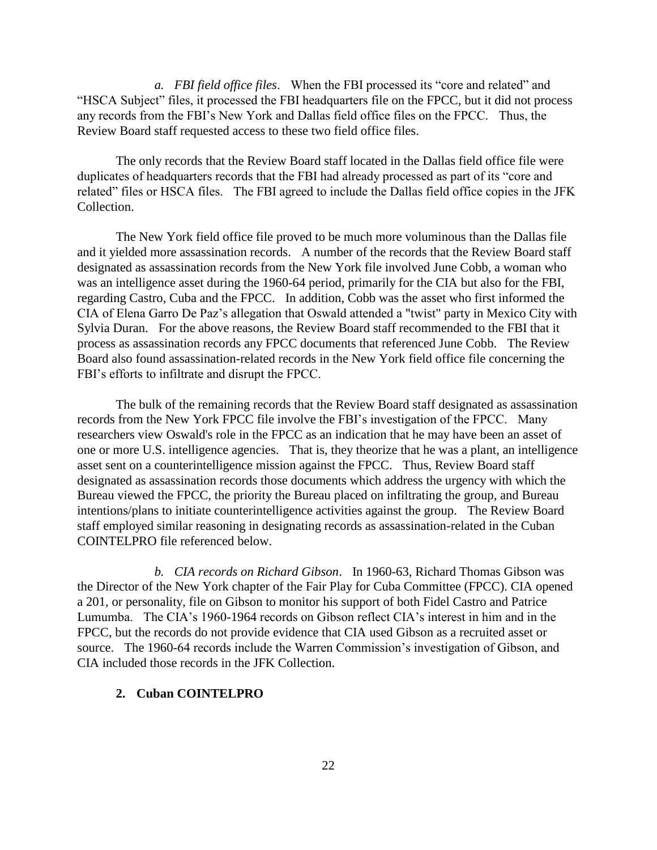*a. FBI field office files*. When the FBI processed its "core and related" and "HSCA Subject" files, it processed the FBI headquarters file on the FPCC, but it did not process any records from the FBI's New York and Dallas field office files on the FPCC. Thus, the Review Board staff requested access to these two field office files.

The only records that the Review Board staff located in the Dallas field office file were duplicates of headquarters records that the FBI had already processed as part of its "core and related" files or HSCA files. The FBI agreed to include the Dallas field office copies in the JFK Collection.

The New York field office file proved to be much more voluminous than the Dallas file and it yielded more assassination records. A number of the records that the Review Board staff designated as assassination records from the New York file involved June Cobb, a woman who was an intelligence asset during the 1960-64 period, primarily for the CIA but also for the FBI, regarding Castro, Cuba and the FPCC. In addition, Cobb was the asset who first informed the CIA of Elena Garro De Paz's allegation that Oswald attended a "twist" party in Mexico City with Sylvia Duran. For the above reasons, the Review Board staff recommended to the FBI that it process as assassination records any FPCC documents that referenced June Cobb. The Review Board also found assassination-related records in the New York field office file concerning the FBI's efforts to infiltrate and disrupt the FPCC.

The bulk of the remaining records that the Review Board staff designated as assassination records from the New York FPCC file involve the FBI's investigation of the FPCC. Many researchers view Oswald's role in the FPCC as an indication that he may have been an asset of one or more U.S. intelligence agencies. That is, they theorize that he was a plant, an intelligence asset sent on a counterintelligence mission against the FPCC. Thus, Review Board staff designated as assassination records those documents which address the urgency with which the Bureau viewed the FPCC, the priority the Bureau placed on infiltrating the group, and Bureau intentions/plans to initiate counterintelligence activities against the group. The Review Board staff employed similar reasoning in designating records as assassination-related in the Cuban COINTELPRO file referenced below.

*b. CIA records on Richard Gibson*. In 1960-63, Richard Thomas Gibson was the Director of the New York chapter of the Fair Play for Cuba Committee (FPCC). CIA opened a 201, or personality, file on Gibson to monitor his support of both Fidel Castro and Patrice Lumumba. The CIA's 1960-1964 records on Gibson reflect CIA's interest in him and in the FPCC, but the records do not provide evidence that CIA used Gibson as a recruited asset or source. The 1960-64 records include the Warren Commission's investigation of Gibson, and CIA included those records in the JFK Collection.

## **2. Cuban COINTELPRO**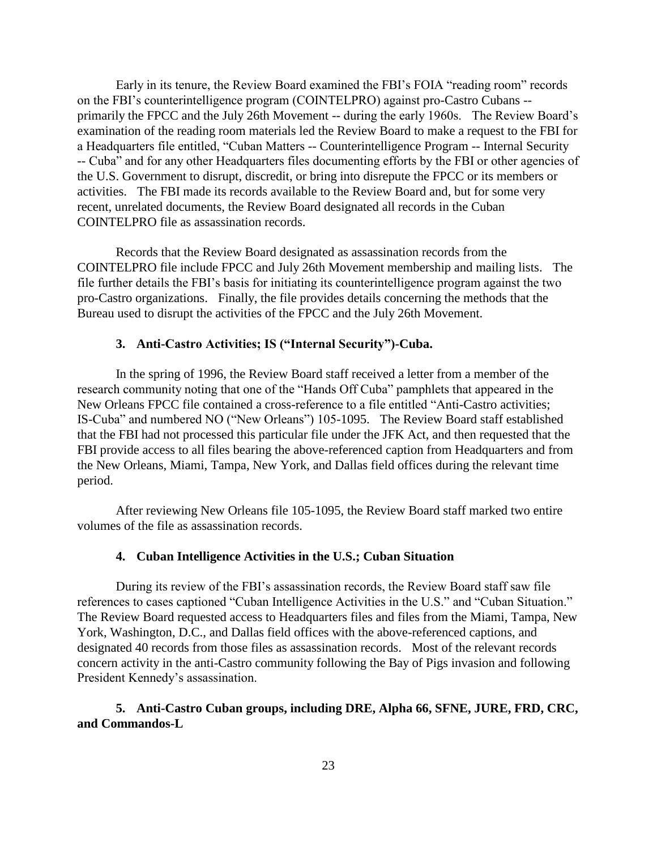Early in its tenure, the Review Board examined the FBI's FOIA "reading room" records on the FBI's counterintelligence program (COINTELPRO) against pro-Castro Cubans - primarily the FPCC and the July 26th Movement -- during the early 1960s. The Review Board's examination of the reading room materials led the Review Board to make a request to the FBI for a Headquarters file entitled, "Cuban Matters -- Counterintelligence Program -- Internal Security -- Cuba" and for any other Headquarters files documenting efforts by the FBI or other agencies of the U.S. Government to disrupt, discredit, or bring into disrepute the FPCC or its members or activities. The FBI made its records available to the Review Board and, but for some very recent, unrelated documents, the Review Board designated all records in the Cuban COINTELPRO file as assassination records.

Records that the Review Board designated as assassination records from the COINTELPRO file include FPCC and July 26th Movement membership and mailing lists. The file further details the FBI's basis for initiating its counterintelligence program against the two pro-Castro organizations. Finally, the file provides details concerning the methods that the Bureau used to disrupt the activities of the FPCC and the July 26th Movement.

## **3. Anti-Castro Activities; IS ("Internal Security")-Cuba.**

In the spring of 1996, the Review Board staff received a letter from a member of the research community noting that one of the "Hands Off Cuba" pamphlets that appeared in the New Orleans FPCC file contained a cross-reference to a file entitled "Anti-Castro activities; IS-Cuba" and numbered NO ("New Orleans") 105-1095. The Review Board staff established that the FBI had not processed this particular file under the JFK Act, and then requested that the FBI provide access to all files bearing the above-referenced caption from Headquarters and from the New Orleans, Miami, Tampa, New York, and Dallas field offices during the relevant time period.

After reviewing New Orleans file 105-1095, the Review Board staff marked two entire volumes of the file as assassination records.

## **4. Cuban Intelligence Activities in the U.S.; Cuban Situation**

During its review of the FBI's assassination records, the Review Board staff saw file references to cases captioned "Cuban Intelligence Activities in the U.S." and "Cuban Situation." The Review Board requested access to Headquarters files and files from the Miami, Tampa, New York, Washington, D.C., and Dallas field offices with the above-referenced captions, and designated 40 records from those files as assassination records. Most of the relevant records concern activity in the anti-Castro community following the Bay of Pigs invasion and following President Kennedy's assassination.

## **5. Anti-Castro Cuban groups, including DRE, Alpha 66, SFNE, JURE, FRD, CRC, and Commandos-L**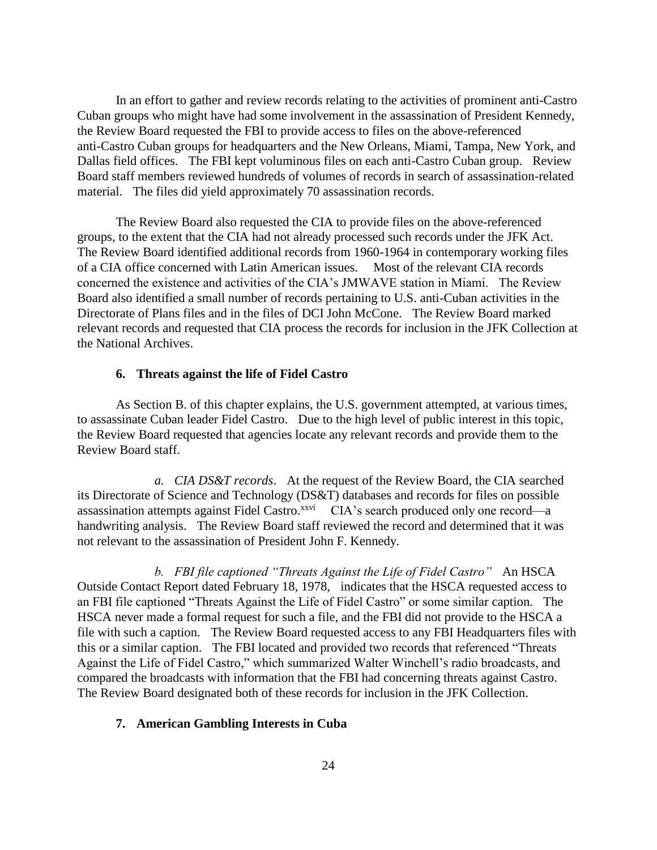In an effort to gather and review records relating to the activities of prominent anti-Castro Cuban groups who might have had some involvement in the assassination of President Kennedy, the Review Board requested the FBI to provide access to files on the above-referenced anti-Castro Cuban groups for headquarters and the New Orleans, Miami, Tampa, New York, and Dallas field offices. The FBI kept voluminous files on each anti-Castro Cuban group. Review Board staff members reviewed hundreds of volumes of records in search of assassination-related material. The files did yield approximately 70 assassination records.

The Review Board also requested the CIA to provide files on the above-referenced groups, to the extent that the CIA had not already processed such records under the JFK Act. The Review Board identified additional records from 1960-1964 in contemporary working files of a CIA office concerned with Latin American issues. Most of the relevant CIA records concerned the existence and activities of the CIA's JMWAVE station in Miami. The Review Board also identified a small number of records pertaining to U.S. anti-Cuban activities in the Directorate of Plans files and in the files of DCI John McCone. The Review Board marked relevant records and requested that CIA process the records for inclusion in the JFK Collection at the National Archives.

## **6. Threats against the life of Fidel Castro**

As Section B. of this chapter explains, the U.S. government attempted, at various times, to assassinate Cuban leader Fidel Castro. Due to the high level of public interest in this topic, the Review Board requested that agencies locate any relevant records and provide them to the Review Board staff.

*a. CIA DS&T records*. At the request of the Review Board, the CIA searched its Directorate of Science and Technology (DS&T) databases and records for files on possible assassination attempts against Fidel Castro. $\frac{x}{x}$  CIA's search produced only one record—a handwriting analysis. The Review Board staff reviewed the record and determined that it was not relevant to the assassination of President John F. Kennedy.

*b. FBI file captioned "Threats Against the Life of Fidel Castro"* An HSCA Outside Contact Report dated February 18, 1978, indicates that the HSCA requested access to an FBI file captioned "Threats Against the Life of Fidel Castro" or some similar caption. The HSCA never made a formal request for such a file, and the FBI did not provide to the HSCA a file with such a caption. The Review Board requested access to any FBI Headquarters files with this or a similar caption. The FBI located and provided two records that referenced "Threats Against the Life of Fidel Castro," which summarized Walter Winchell's radio broadcasts, and compared the broadcasts with information that the FBI had concerning threats against Castro. The Review Board designated both of these records for inclusion in the JFK Collection.

## **7. American Gambling Interests in Cuba**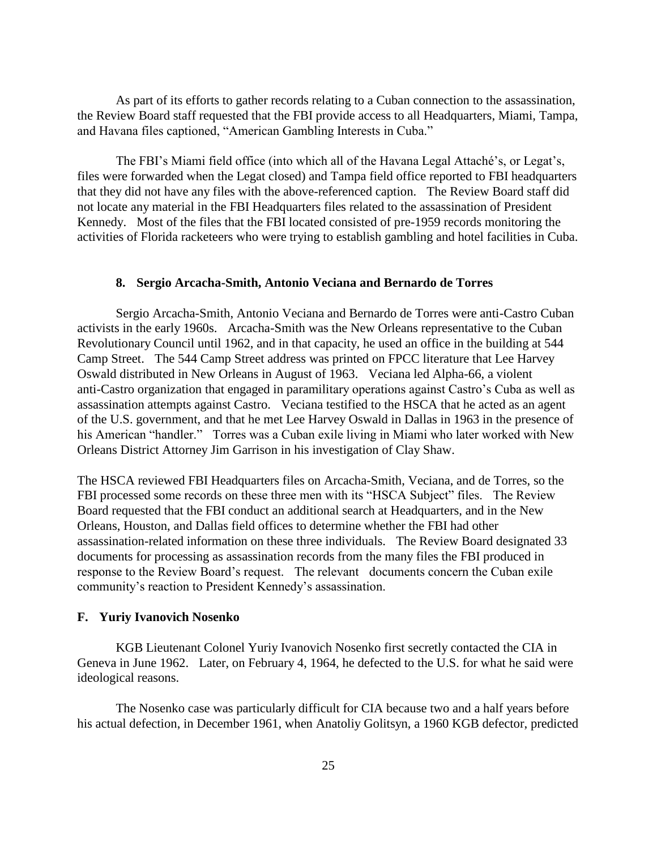As part of its efforts to gather records relating to a Cuban connection to the assassination, the Review Board staff requested that the FBI provide access to all Headquarters, Miami, Tampa, and Havana files captioned, "American Gambling Interests in Cuba."

The FBI's Miami field office (into which all of the Havana Legal Attaché's, or Legat's, files were forwarded when the Legat closed) and Tampa field office reported to FBI headquarters that they did not have any files with the above-referenced caption. The Review Board staff did not locate any material in the FBI Headquarters files related to the assassination of President Kennedy. Most of the files that the FBI located consisted of pre-1959 records monitoring the activities of Florida racketeers who were trying to establish gambling and hotel facilities in Cuba.

## **8. Sergio Arcacha-Smith, Antonio Veciana and Bernardo de Torres**

Sergio Arcacha-Smith, Antonio Veciana and Bernardo de Torres were anti-Castro Cuban activists in the early 1960s. Arcacha-Smith was the New Orleans representative to the Cuban Revolutionary Council until 1962, and in that capacity, he used an office in the building at 544 Camp Street. The 544 Camp Street address was printed on FPCC literature that Lee Harvey Oswald distributed in New Orleans in August of 1963. Veciana led Alpha-66, a violent anti-Castro organization that engaged in paramilitary operations against Castro's Cuba as well as assassination attempts against Castro. Veciana testified to the HSCA that he acted as an agent of the U.S. government, and that he met Lee Harvey Oswald in Dallas in 1963 in the presence of his American "handler." Torres was a Cuban exile living in Miami who later worked with New Orleans District Attorney Jim Garrison in his investigation of Clay Shaw.

The HSCA reviewed FBI Headquarters files on Arcacha-Smith, Veciana, and de Torres, so the FBI processed some records on these three men with its "HSCA Subject" files. The Review Board requested that the FBI conduct an additional search at Headquarters, and in the New Orleans, Houston, and Dallas field offices to determine whether the FBI had other assassination-related information on these three individuals. The Review Board designated 33 documents for processing as assassination records from the many files the FBI produced in response to the Review Board's request. The relevant documents concern the Cuban exile community's reaction to President Kennedy's assassination.

#### **F. Yuriy Ivanovich Nosenko**

KGB Lieutenant Colonel Yuriy Ivanovich Nosenko first secretly contacted the CIA in Geneva in June 1962. Later, on February 4, 1964, he defected to the U.S. for what he said were ideological reasons.

The Nosenko case was particularly difficult for CIA because two and a half years before his actual defection, in December 1961, when Anatoliy Golitsyn, a 1960 KGB defector, predicted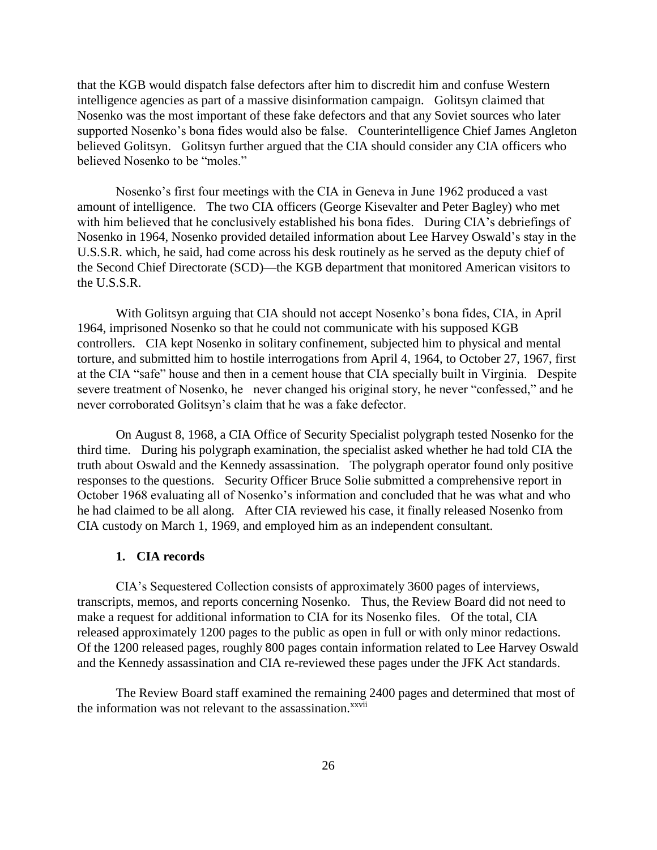that the KGB would dispatch false defectors after him to discredit him and confuse Western intelligence agencies as part of a massive disinformation campaign. Golitsyn claimed that Nosenko was the most important of these fake defectors and that any Soviet sources who later supported Nosenko's bona fides would also be false. Counterintelligence Chief James Angleton believed Golitsyn. Golitsyn further argued that the CIA should consider any CIA officers who believed Nosenko to be "moles."

Nosenko's first four meetings with the CIA in Geneva in June 1962 produced a vast amount of intelligence. The two CIA officers (George Kisevalter and Peter Bagley) who met with him believed that he conclusively established his bona fides. During CIA's debriefings of Nosenko in 1964, Nosenko provided detailed information about Lee Harvey Oswald's stay in the U.S.S.R. which, he said, had come across his desk routinely as he served as the deputy chief of the Second Chief Directorate (SCD)—the KGB department that monitored American visitors to the U.S.S.R.

With Golitsyn arguing that CIA should not accept Nosenko's bona fides, CIA, in April 1964, imprisoned Nosenko so that he could not communicate with his supposed KGB controllers. CIA kept Nosenko in solitary confinement, subjected him to physical and mental torture, and submitted him to hostile interrogations from April 4, 1964, to October 27, 1967, first at the CIA "safe" house and then in a cement house that CIA specially built in Virginia. Despite severe treatment of Nosenko, he never changed his original story, he never "confessed," and he never corroborated Golitsyn's claim that he was a fake defector.

On August 8, 1968, a CIA Office of Security Specialist polygraph tested Nosenko for the third time. During his polygraph examination, the specialist asked whether he had told CIA the truth about Oswald and the Kennedy assassination. The polygraph operator found only positive responses to the questions. Security Officer Bruce Solie submitted a comprehensive report in October 1968 evaluating all of Nosenko's information and concluded that he was what and who he had claimed to be all along. After CIA reviewed his case, it finally released Nosenko from CIA custody on March 1, 1969, and employed him as an independent consultant.

#### **1. CIA records**

CIA's Sequestered Collection consists of approximately 3600 pages of interviews, transcripts, memos, and reports concerning Nosenko. Thus, the Review Board did not need to make a request for additional information to CIA for its Nosenko files. Of the total, CIA released approximately 1200 pages to the public as open in full or with only minor redactions. Of the 1200 released pages, roughly 800 pages contain information related to Lee Harvey Oswald and the Kennedy assassination and CIA re-reviewed these pages under the JFK Act standards.

The Review Board staff examined the remaining 2400 pages and determined that most of the information was not relevant to the assassination.<sup>xxvii</sup>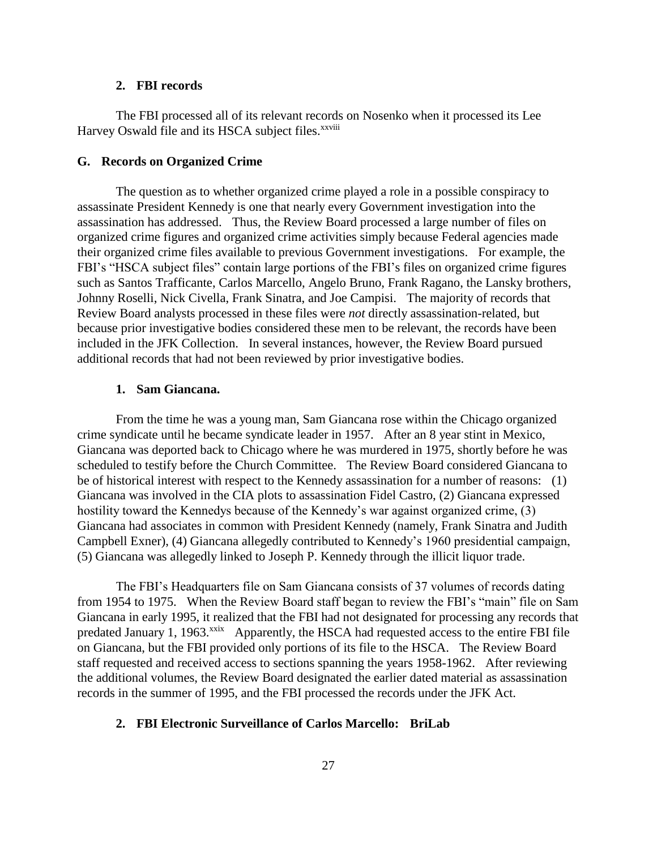## **2. FBI records**

The FBI processed all of its relevant records on Nosenko when it processed its Lee Harvey Oswald file and its HSCA subject files.<sup>xxviii</sup>

## **G. Records on Organized Crime**

The question as to whether organized crime played a role in a possible conspiracy to assassinate President Kennedy is one that nearly every Government investigation into the assassination has addressed. Thus, the Review Board processed a large number of files on organized crime figures and organized crime activities simply because Federal agencies made their organized crime files available to previous Government investigations. For example, the FBI's "HSCA subject files" contain large portions of the FBI's files on organized crime figures such as Santos Trafficante, Carlos Marcello, Angelo Bruno, Frank Ragano, the Lansky brothers, Johnny Roselli, Nick Civella, Frank Sinatra, and Joe Campisi. The majority of records that Review Board analysts processed in these files were *not* directly assassination-related, but because prior investigative bodies considered these men to be relevant, the records have been included in the JFK Collection. In several instances, however, the Review Board pursued additional records that had not been reviewed by prior investigative bodies.

## **1. Sam Giancana.**

From the time he was a young man, Sam Giancana rose within the Chicago organized crime syndicate until he became syndicate leader in 1957. After an 8 year stint in Mexico, Giancana was deported back to Chicago where he was murdered in 1975, shortly before he was scheduled to testify before the Church Committee. The Review Board considered Giancana to be of historical interest with respect to the Kennedy assassination for a number of reasons: (1) Giancana was involved in the CIA plots to assassination Fidel Castro, (2) Giancana expressed hostility toward the Kennedys because of the Kennedy's war against organized crime, (3) Giancana had associates in common with President Kennedy (namely, Frank Sinatra and Judith Campbell Exner), (4) Giancana allegedly contributed to Kennedy's 1960 presidential campaign, (5) Giancana was allegedly linked to Joseph P. Kennedy through the illicit liquor trade.

The FBI's Headquarters file on Sam Giancana consists of 37 volumes of records dating from 1954 to 1975. When the Review Board staff began to review the FBI's "main" file on Sam Giancana in early 1995, it realized that the FBI had not designated for processing any records that predated January 1, 1963.<sup>xxix</sup> Apparently, the HSCA had requested access to the entire FBI file on Giancana, but the FBI provided only portions of its file to the HSCA. The Review Board staff requested and received access to sections spanning the years 1958-1962. After reviewing the additional volumes, the Review Board designated the earlier dated material as assassination records in the summer of 1995, and the FBI processed the records under the JFK Act.

### **2. FBI Electronic Surveillance of Carlos Marcello: BriLab**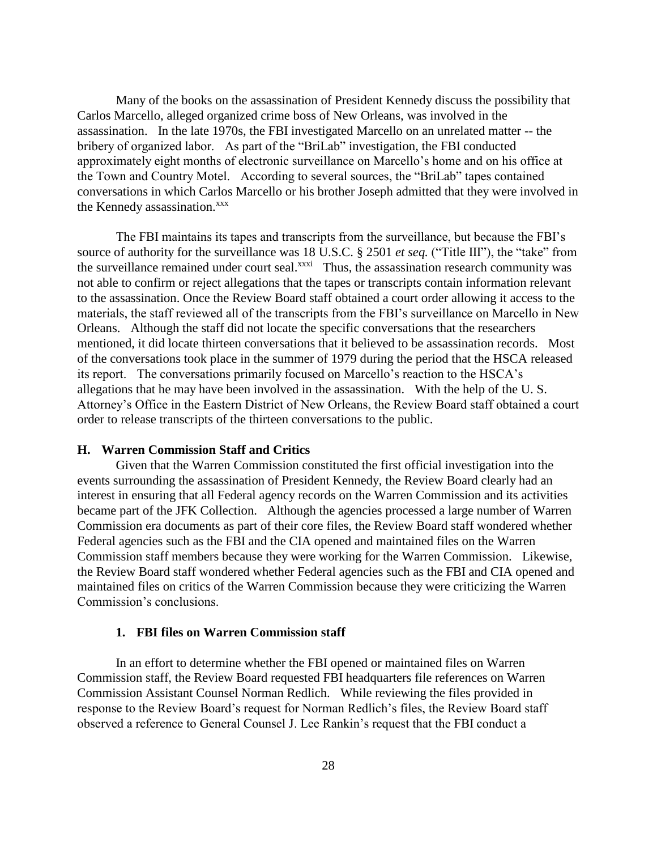Many of the books on the assassination of President Kennedy discuss the possibility that Carlos Marcello, alleged organized crime boss of New Orleans, was involved in the assassination. In the late 1970s, the FBI investigated Marcello on an unrelated matter -- the bribery of organized labor. As part of the "BriLab" investigation, the FBI conducted approximately eight months of electronic surveillance on Marcello's home and on his office at the Town and Country Motel. According to several sources, the "BriLab" tapes contained conversations in which Carlos Marcello or his brother Joseph admitted that they were involved in the Kennedy assassination.<sup>xxx</sup>

The FBI maintains its tapes and transcripts from the surveillance, but because the FBI's source of authority for the surveillance was 18 U.S.C. § 2501 *et seq.* ("Title III"), the "take" from the surveillance remained under court seal.<sup>xxxi</sup> Thus, the assassination research community was not able to confirm or reject allegations that the tapes or transcripts contain information relevant to the assassination. Once the Review Board staff obtained a court order allowing it access to the materials, the staff reviewed all of the transcripts from the FBI's surveillance on Marcello in New Orleans. Although the staff did not locate the specific conversations that the researchers mentioned, it did locate thirteen conversations that it believed to be assassination records. Most of the conversations took place in the summer of 1979 during the period that the HSCA released its report. The conversations primarily focused on Marcello's reaction to the HSCA's allegations that he may have been involved in the assassination. With the help of the U. S. Attorney's Office in the Eastern District of New Orleans, the Review Board staff obtained a court order to release transcripts of the thirteen conversations to the public.

#### **H. Warren Commission Staff and Critics**

Given that the Warren Commission constituted the first official investigation into the events surrounding the assassination of President Kennedy, the Review Board clearly had an interest in ensuring that all Federal agency records on the Warren Commission and its activities became part of the JFK Collection. Although the agencies processed a large number of Warren Commission era documents as part of their core files, the Review Board staff wondered whether Federal agencies such as the FBI and the CIA opened and maintained files on the Warren Commission staff members because they were working for the Warren Commission. Likewise, the Review Board staff wondered whether Federal agencies such as the FBI and CIA opened and maintained files on critics of the Warren Commission because they were criticizing the Warren Commission's conclusions.

#### **1. FBI files on Warren Commission staff**

In an effort to determine whether the FBI opened or maintained files on Warren Commission staff, the Review Board requested FBI headquarters file references on Warren Commission Assistant Counsel Norman Redlich. While reviewing the files provided in response to the Review Board's request for Norman Redlich's files, the Review Board staff observed a reference to General Counsel J. Lee Rankin's request that the FBI conduct a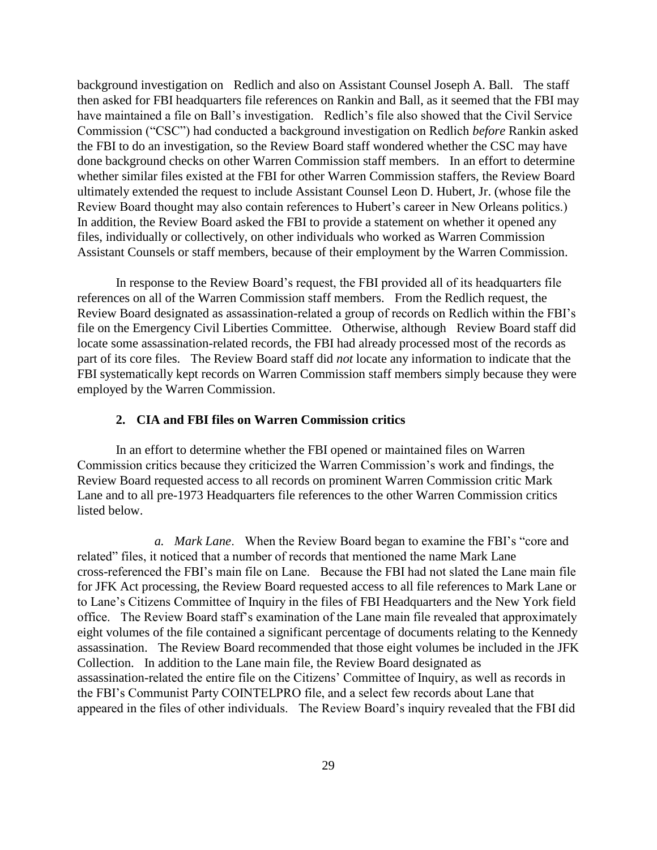background investigation on Redlich and also on Assistant Counsel Joseph A. Ball. The staff then asked for FBI headquarters file references on Rankin and Ball, as it seemed that the FBI may have maintained a file on Ball's investigation. Redlich's file also showed that the Civil Service Commission ("CSC") had conducted a background investigation on Redlich *before* Rankin asked the FBI to do an investigation, so the Review Board staff wondered whether the CSC may have done background checks on other Warren Commission staff members. In an effort to determine whether similar files existed at the FBI for other Warren Commission staffers, the Review Board ultimately extended the request to include Assistant Counsel Leon D. Hubert, Jr. (whose file the Review Board thought may also contain references to Hubert's career in New Orleans politics.) In addition, the Review Board asked the FBI to provide a statement on whether it opened any files, individually or collectively, on other individuals who worked as Warren Commission Assistant Counsels or staff members, because of their employment by the Warren Commission.

In response to the Review Board's request, the FBI provided all of its headquarters file references on all of the Warren Commission staff members. From the Redlich request, the Review Board designated as assassination-related a group of records on Redlich within the FBI's file on the Emergency Civil Liberties Committee. Otherwise, although Review Board staff did locate some assassination-related records, the FBI had already processed most of the records as part of its core files. The Review Board staff did *not* locate any information to indicate that the FBI systematically kept records on Warren Commission staff members simply because they were employed by the Warren Commission.

## **2. CIA and FBI files on Warren Commission critics**

In an effort to determine whether the FBI opened or maintained files on Warren Commission critics because they criticized the Warren Commission's work and findings, the Review Board requested access to all records on prominent Warren Commission critic Mark Lane and to all pre-1973 Headquarters file references to the other Warren Commission critics listed below.

*a. Mark Lane*. When the Review Board began to examine the FBI's "core and related" files, it noticed that a number of records that mentioned the name Mark Lane cross-referenced the FBI's main file on Lane. Because the FBI had not slated the Lane main file for JFK Act processing, the Review Board requested access to all file references to Mark Lane or to Lane's Citizens Committee of Inquiry in the files of FBI Headquarters and the New York field office. The Review Board staff's examination of the Lane main file revealed that approximately eight volumes of the file contained a significant percentage of documents relating to the Kennedy assassination. The Review Board recommended that those eight volumes be included in the JFK Collection. In addition to the Lane main file, the Review Board designated as assassination-related the entire file on the Citizens' Committee of Inquiry, as well as records in the FBI's Communist Party COINTELPRO file, and a select few records about Lane that appeared in the files of other individuals. The Review Board's inquiry revealed that the FBI did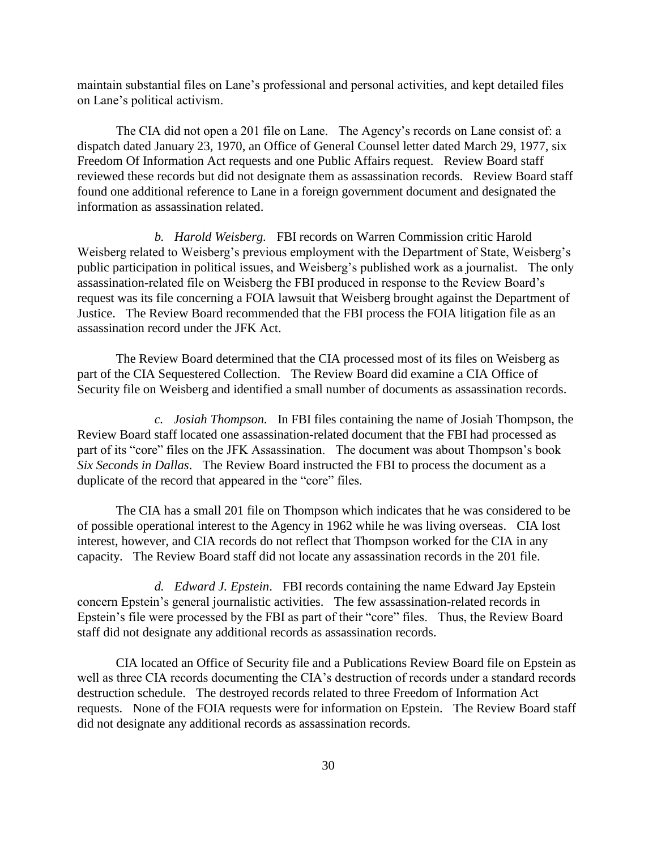maintain substantial files on Lane's professional and personal activities, and kept detailed files on Lane's political activism.

The CIA did not open a 201 file on Lane. The Agency's records on Lane consist of: a dispatch dated January 23, 1970, an Office of General Counsel letter dated March 29, 1977, six Freedom Of Information Act requests and one Public Affairs request. Review Board staff reviewed these records but did not designate them as assassination records. Review Board staff found one additional reference to Lane in a foreign government document and designated the information as assassination related.

*b. Harold Weisberg.* FBI records on Warren Commission critic Harold Weisberg related to Weisberg's previous employment with the Department of State, Weisberg's public participation in political issues, and Weisberg's published work as a journalist. The only assassination-related file on Weisberg the FBI produced in response to the Review Board's request was its file concerning a FOIA lawsuit that Weisberg brought against the Department of Justice. The Review Board recommended that the FBI process the FOIA litigation file as an assassination record under the JFK Act.

The Review Board determined that the CIA processed most of its files on Weisberg as part of the CIA Sequestered Collection. The Review Board did examine a CIA Office of Security file on Weisberg and identified a small number of documents as assassination records.

*c. Josiah Thompson.* In FBI files containing the name of Josiah Thompson, the Review Board staff located one assassination-related document that the FBI had processed as part of its "core" files on the JFK Assassination. The document was about Thompson's book *Six Seconds in Dallas*. The Review Board instructed the FBI to process the document as a duplicate of the record that appeared in the "core" files.

The CIA has a small 201 file on Thompson which indicates that he was considered to be of possible operational interest to the Agency in 1962 while he was living overseas. CIA lost interest, however, and CIA records do not reflect that Thompson worked for the CIA in any capacity. The Review Board staff did not locate any assassination records in the 201 file.

*d. Edward J. Epstein*. FBI records containing the name Edward Jay Epstein concern Epstein's general journalistic activities. The few assassination-related records in Epstein's file were processed by the FBI as part of their "core" files. Thus, the Review Board staff did not designate any additional records as assassination records.

CIA located an Office of Security file and a Publications Review Board file on Epstein as well as three CIA records documenting the CIA's destruction of records under a standard records destruction schedule. The destroyed records related to three Freedom of Information Act requests. None of the FOIA requests were for information on Epstein. The Review Board staff did not designate any additional records as assassination records.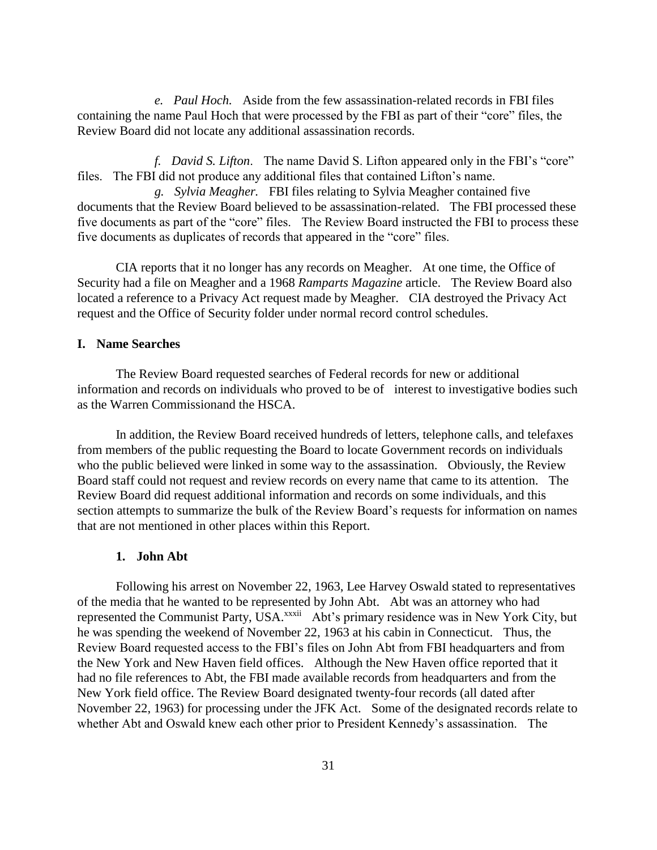*e. Paul Hoch.* Aside from the few assassination-related records in FBI files containing the name Paul Hoch that were processed by the FBI as part of their "core" files, the Review Board did not locate any additional assassination records.

*f. David S. Lifton*. The name David S. Lifton appeared only in the FBI's "core" files. The FBI did not produce any additional files that contained Lifton's name.

*g. Sylvia Meagher.* FBI files relating to Sylvia Meagher contained five documents that the Review Board believed to be assassination-related. The FBI processed these five documents as part of the "core" files. The Review Board instructed the FBI to process these five documents as duplicates of records that appeared in the "core" files.

CIA reports that it no longer has any records on Meagher. At one time, the Office of Security had a file on Meagher and a 1968 *Ramparts Magazine* article. The Review Board also located a reference to a Privacy Act request made by Meagher. CIA destroyed the Privacy Act request and the Office of Security folder under normal record control schedules.

## **I. Name Searches**

The Review Board requested searches of Federal records for new or additional information and records on individuals who proved to be of interest to investigative bodies such as the Warren Commissionand the HSCA.

In addition, the Review Board received hundreds of letters, telephone calls, and telefaxes from members of the public requesting the Board to locate Government records on individuals who the public believed were linked in some way to the assassination. Obviously, the Review Board staff could not request and review records on every name that came to its attention. The Review Board did request additional information and records on some individuals, and this section attempts to summarize the bulk of the Review Board's requests for information on names that are not mentioned in other places within this Report.

## **1. John Abt**

Following his arrest on November 22, 1963, Lee Harvey Oswald stated to representatives of the media that he wanted to be represented by John Abt. Abt was an attorney who had represented the Communist Party, USA.<sup>xxxii</sup> Abt's primary residence was in New York City, but he was spending the weekend of November 22, 1963 at his cabin in Connecticut. Thus, the Review Board requested access to the FBI's files on John Abt from FBI headquarters and from the New York and New Haven field offices. Although the New Haven office reported that it had no file references to Abt, the FBI made available records from headquarters and from the New York field office. The Review Board designated twenty-four records (all dated after November 22, 1963) for processing under the JFK Act. Some of the designated records relate to whether Abt and Oswald knew each other prior to President Kennedy's assassination. The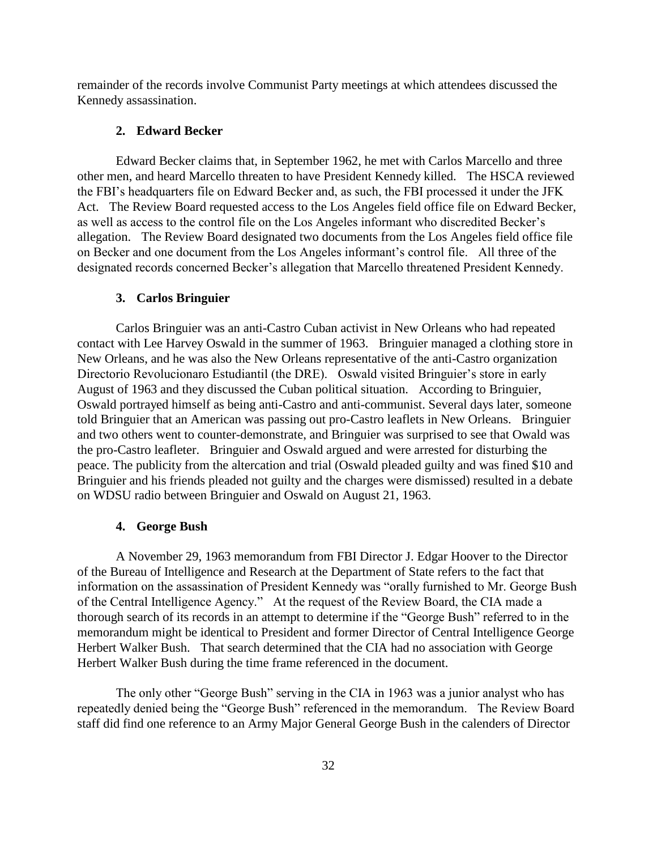remainder of the records involve Communist Party meetings at which attendees discussed the Kennedy assassination.

### **2. Edward Becker**

Edward Becker claims that, in September 1962, he met with Carlos Marcello and three other men, and heard Marcello threaten to have President Kennedy killed. The HSCA reviewed the FBI's headquarters file on Edward Becker and, as such, the FBI processed it under the JFK Act. The Review Board requested access to the Los Angeles field office file on Edward Becker, as well as access to the control file on the Los Angeles informant who discredited Becker's allegation. The Review Board designated two documents from the Los Angeles field office file on Becker and one document from the Los Angeles informant's control file. All three of the designated records concerned Becker's allegation that Marcello threatened President Kennedy.

#### **3. Carlos Bringuier**

Carlos Bringuier was an anti-Castro Cuban activist in New Orleans who had repeated contact with Lee Harvey Oswald in the summer of 1963. Bringuier managed a clothing store in New Orleans, and he was also the New Orleans representative of the anti-Castro organization Directorio Revolucionaro Estudiantil (the DRE). Oswald visited Bringuier's store in early August of 1963 and they discussed the Cuban political situation. According to Bringuier, Oswald portrayed himself as being anti-Castro and anti-communist. Several days later, someone told Bringuier that an American was passing out pro-Castro leaflets in New Orleans. Bringuier and two others went to counter-demonstrate, and Bringuier was surprised to see that Owald was the pro-Castro leafleter. Bringuier and Oswald argued and were arrested for disturbing the peace. The publicity from the altercation and trial (Oswald pleaded guilty and was fined \$10 and Bringuier and his friends pleaded not guilty and the charges were dismissed) resulted in a debate on WDSU radio between Bringuier and Oswald on August 21, 1963.

## **4. George Bush**

A November 29, 1963 memorandum from FBI Director J. Edgar Hoover to the Director of the Bureau of Intelligence and Research at the Department of State refers to the fact that information on the assassination of President Kennedy was "orally furnished to Mr. George Bush of the Central Intelligence Agency." At the request of the Review Board, the CIA made a thorough search of its records in an attempt to determine if the "George Bush" referred to in the memorandum might be identical to President and former Director of Central Intelligence George Herbert Walker Bush. That search determined that the CIA had no association with George Herbert Walker Bush during the time frame referenced in the document.

The only other "George Bush" serving in the CIA in 1963 was a junior analyst who has repeatedly denied being the "George Bush" referenced in the memorandum. The Review Board staff did find one reference to an Army Major General George Bush in the calenders of Director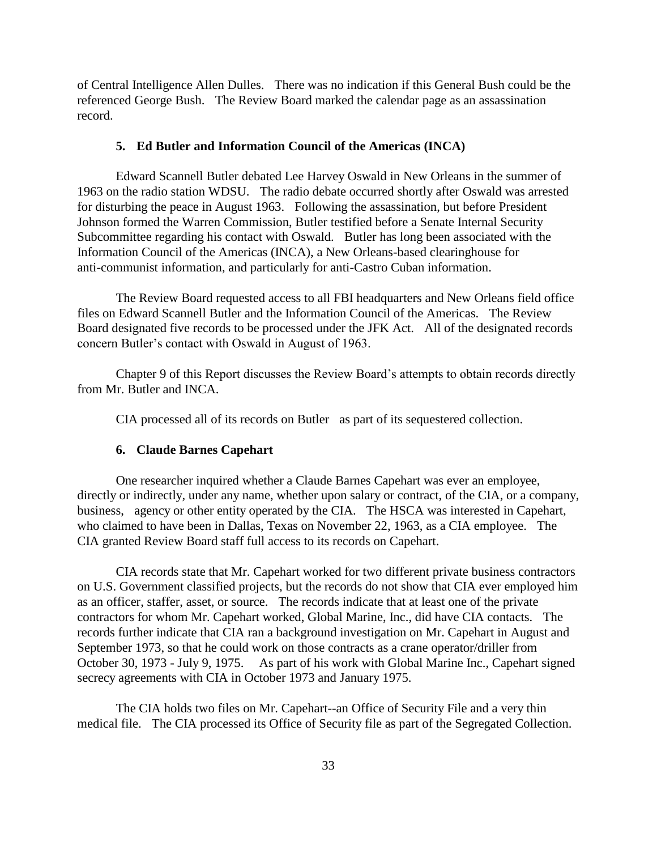of Central Intelligence Allen Dulles. There was no indication if this General Bush could be the referenced George Bush. The Review Board marked the calendar page as an assassination record.

## **5. Ed Butler and Information Council of the Americas (INCA)**

Edward Scannell Butler debated Lee Harvey Oswald in New Orleans in the summer of 1963 on the radio station WDSU. The radio debate occurred shortly after Oswald was arrested for disturbing the peace in August 1963. Following the assassination, but before President Johnson formed the Warren Commission, Butler testified before a Senate Internal Security Subcommittee regarding his contact with Oswald. Butler has long been associated with the Information Council of the Americas (INCA), a New Orleans-based clearinghouse for anti-communist information, and particularly for anti-Castro Cuban information.

The Review Board requested access to all FBI headquarters and New Orleans field office files on Edward Scannell Butler and the Information Council of the Americas. The Review Board designated five records to be processed under the JFK Act. All of the designated records concern Butler's contact with Oswald in August of 1963.

Chapter 9 of this Report discusses the Review Board's attempts to obtain records directly from Mr. Butler and INCA.

CIA processed all of its records on Butler as part of its sequestered collection.

## **6. Claude Barnes Capehart**

One researcher inquired whether a Claude Barnes Capehart was ever an employee, directly or indirectly, under any name, whether upon salary or contract, of the CIA, or a company, business, agency or other entity operated by the CIA. The HSCA was interested in Capehart, who claimed to have been in Dallas, Texas on November 22, 1963, as a CIA employee. The CIA granted Review Board staff full access to its records on Capehart.

CIA records state that Mr. Capehart worked for two different private business contractors on U.S. Government classified projects, but the records do not show that CIA ever employed him as an officer, staffer, asset, or source. The records indicate that at least one of the private contractors for whom Mr. Capehart worked, Global Marine, Inc., did have CIA contacts. The records further indicate that CIA ran a background investigation on Mr. Capehart in August and September 1973, so that he could work on those contracts as a crane operator/driller from October 30, 1973 - July 9, 1975. As part of his work with Global Marine Inc., Capehart signed secrecy agreements with CIA in October 1973 and January 1975.

The CIA holds two files on Mr. Capehart--an Office of Security File and a very thin medical file. The CIA processed its Office of Security file as part of the Segregated Collection.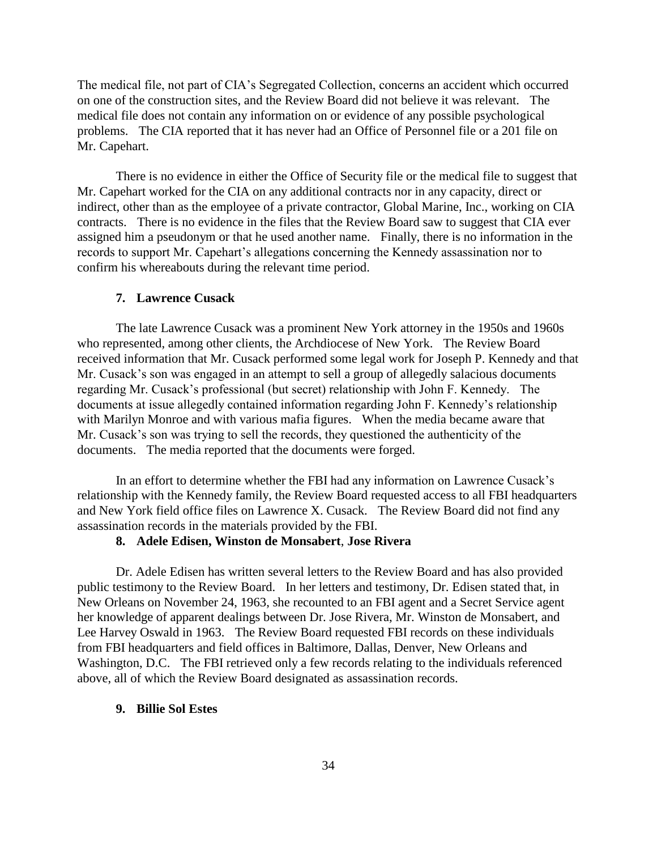The medical file, not part of CIA's Segregated Collection, concerns an accident which occurred on one of the construction sites, and the Review Board did not believe it was relevant. The medical file does not contain any information on or evidence of any possible psychological problems. The CIA reported that it has never had an Office of Personnel file or a 201 file on Mr. Capehart.

There is no evidence in either the Office of Security file or the medical file to suggest that Mr. Capehart worked for the CIA on any additional contracts nor in any capacity, direct or indirect, other than as the employee of a private contractor, Global Marine, Inc., working on CIA contracts. There is no evidence in the files that the Review Board saw to suggest that CIA ever assigned him a pseudonym or that he used another name. Finally, there is no information in the records to support Mr. Capehart's allegations concerning the Kennedy assassination nor to confirm his whereabouts during the relevant time period.

### **7. Lawrence Cusack**

The late Lawrence Cusack was a prominent New York attorney in the 1950s and 1960s who represented, among other clients, the Archdiocese of New York. The Review Board received information that Mr. Cusack performed some legal work for Joseph P. Kennedy and that Mr. Cusack's son was engaged in an attempt to sell a group of allegedly salacious documents regarding Mr. Cusack's professional (but secret) relationship with John F. Kennedy. The documents at issue allegedly contained information regarding John F. Kennedy's relationship with Marilyn Monroe and with various mafia figures. When the media became aware that Mr. Cusack's son was trying to sell the records, they questioned the authenticity of the documents. The media reported that the documents were forged.

In an effort to determine whether the FBI had any information on Lawrence Cusack's relationship with the Kennedy family, the Review Board requested access to all FBI headquarters and New York field office files on Lawrence X. Cusack. The Review Board did not find any assassination records in the materials provided by the FBI.

#### **8. Adele Edisen, Winston de Monsabert**, **Jose Rivera**

Dr. Adele Edisen has written several letters to the Review Board and has also provided public testimony to the Review Board. In her letters and testimony, Dr. Edisen stated that, in New Orleans on November 24, 1963, she recounted to an FBI agent and a Secret Service agent her knowledge of apparent dealings between Dr. Jose Rivera, Mr. Winston de Monsabert, and Lee Harvey Oswald in 1963. The Review Board requested FBI records on these individuals from FBI headquarters and field offices in Baltimore, Dallas, Denver, New Orleans and Washington, D.C. The FBI retrieved only a few records relating to the individuals referenced above, all of which the Review Board designated as assassination records.

## **9. Billie Sol Estes**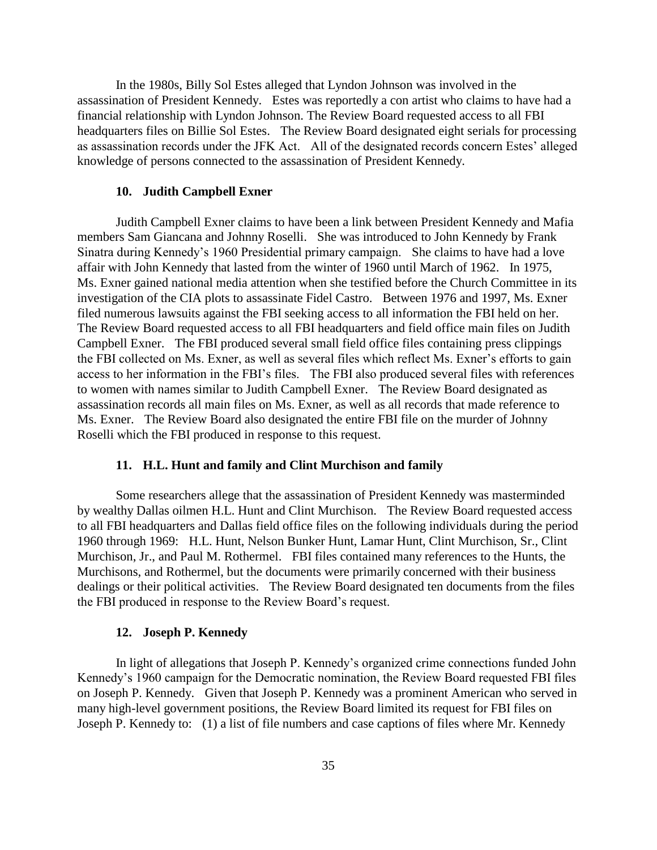In the 1980s, Billy Sol Estes alleged that Lyndon Johnson was involved in the assassination of President Kennedy. Estes was reportedly a con artist who claims to have had a financial relationship with Lyndon Johnson. The Review Board requested access to all FBI headquarters files on Billie Sol Estes. The Review Board designated eight serials for processing as assassination records under the JFK Act. All of the designated records concern Estes' alleged knowledge of persons connected to the assassination of President Kennedy.

## **10. Judith Campbell Exner**

Judith Campbell Exner claims to have been a link between President Kennedy and Mafia members Sam Giancana and Johnny Roselli. She was introduced to John Kennedy by Frank Sinatra during Kennedy's 1960 Presidential primary campaign. She claims to have had a love affair with John Kennedy that lasted from the winter of 1960 until March of 1962. In 1975, Ms. Exner gained national media attention when she testified before the Church Committee in its investigation of the CIA plots to assassinate Fidel Castro. Between 1976 and 1997, Ms. Exner filed numerous lawsuits against the FBI seeking access to all information the FBI held on her. The Review Board requested access to all FBI headquarters and field office main files on Judith Campbell Exner. The FBI produced several small field office files containing press clippings the FBI collected on Ms. Exner, as well as several files which reflect Ms. Exner's efforts to gain access to her information in the FBI's files. The FBI also produced several files with references to women with names similar to Judith Campbell Exner. The Review Board designated as assassination records all main files on Ms. Exner, as well as all records that made reference to Ms. Exner. The Review Board also designated the entire FBI file on the murder of Johnny Roselli which the FBI produced in response to this request.

#### **11. H.L. Hunt and family and Clint Murchison and family**

Some researchers allege that the assassination of President Kennedy was masterminded by wealthy Dallas oilmen H.L. Hunt and Clint Murchison. The Review Board requested access to all FBI headquarters and Dallas field office files on the following individuals during the period 1960 through 1969: H.L. Hunt, Nelson Bunker Hunt, Lamar Hunt, Clint Murchison, Sr., Clint Murchison, Jr., and Paul M. Rothermel. FBI files contained many references to the Hunts, the Murchisons, and Rothermel, but the documents were primarily concerned with their business dealings or their political activities. The Review Board designated ten documents from the files the FBI produced in response to the Review Board's request.

## **12. Joseph P. Kennedy**

In light of allegations that Joseph P. Kennedy's organized crime connections funded John Kennedy's 1960 campaign for the Democratic nomination, the Review Board requested FBI files on Joseph P. Kennedy. Given that Joseph P. Kennedy was a prominent American who served in many high-level government positions, the Review Board limited its request for FBI files on Joseph P. Kennedy to: (1) a list of file numbers and case captions of files where Mr. Kennedy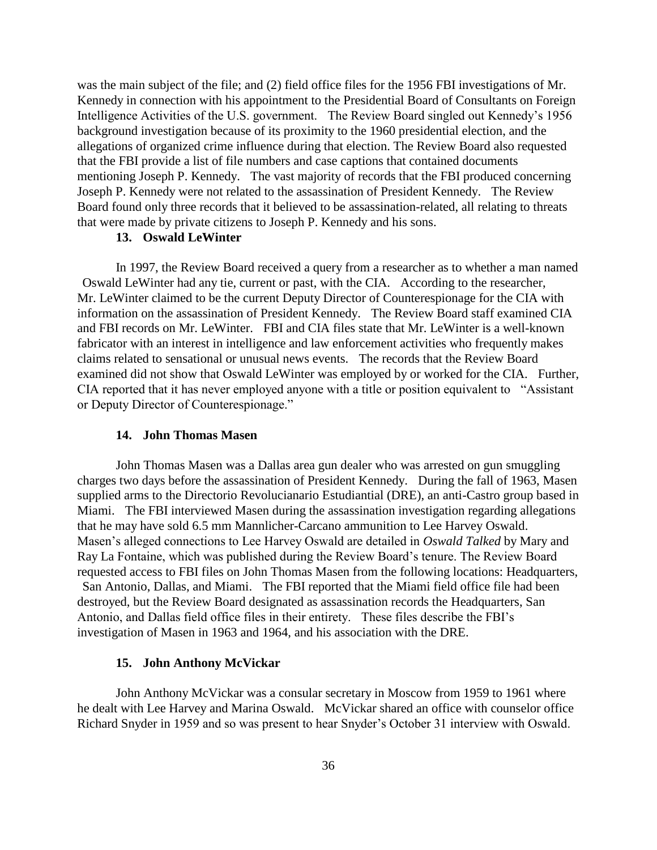was the main subject of the file; and (2) field office files for the 1956 FBI investigations of Mr. Kennedy in connection with his appointment to the Presidential Board of Consultants on Foreign Intelligence Activities of the U.S. government. The Review Board singled out Kennedy's 1956 background investigation because of its proximity to the 1960 presidential election, and the allegations of organized crime influence during that election. The Review Board also requested that the FBI provide a list of file numbers and case captions that contained documents mentioning Joseph P. Kennedy. The vast majority of records that the FBI produced concerning Joseph P. Kennedy were not related to the assassination of President Kennedy. The Review Board found only three records that it believed to be assassination-related, all relating to threats that were made by private citizens to Joseph P. Kennedy and his sons.

# **13. Oswald LeWinter**

In 1997, the Review Board received a query from a researcher as to whether a man named Oswald LeWinter had any tie, current or past, with the CIA. According to the researcher, Mr. LeWinter claimed to be the current Deputy Director of Counterespionage for the CIA with information on the assassination of President Kennedy. The Review Board staff examined CIA and FBI records on Mr. LeWinter. FBI and CIA files state that Mr. LeWinter is a well-known fabricator with an interest in intelligence and law enforcement activities who frequently makes claims related to sensational or unusual news events. The records that the Review Board examined did not show that Oswald LeWinter was employed by or worked for the CIA. Further, CIA reported that it has never employed anyone with a title or position equivalent to "Assistant or Deputy Director of Counterespionage."

#### **14. John Thomas Masen**

John Thomas Masen was a Dallas area gun dealer who was arrested on gun smuggling charges two days before the assassination of President Kennedy. During the fall of 1963, Masen supplied arms to the Directorio Revolucianario Estudiantial (DRE), an anti-Castro group based in Miami. The FBI interviewed Masen during the assassination investigation regarding allegations that he may have sold 6.5 mm Mannlicher-Carcano ammunition to Lee Harvey Oswald. Masen's alleged connections to Lee Harvey Oswald are detailed in *Oswald Talked* by Mary and Ray La Fontaine, which was published during the Review Board's tenure. The Review Board requested access to FBI files on John Thomas Masen from the following locations: Headquarters, San Antonio, Dallas, and Miami. The FBI reported that the Miami field office file had been destroyed, but the Review Board designated as assassination records the Headquarters, San Antonio, and Dallas field office files in their entirety. These files describe the FBI's investigation of Masen in 1963 and 1964, and his association with the DRE.

#### **15. John Anthony McVickar**

John Anthony McVickar was a consular secretary in Moscow from 1959 to 1961 where he dealt with Lee Harvey and Marina Oswald. McVickar shared an office with counselor office Richard Snyder in 1959 and so was present to hear Snyder's October 31 interview with Oswald.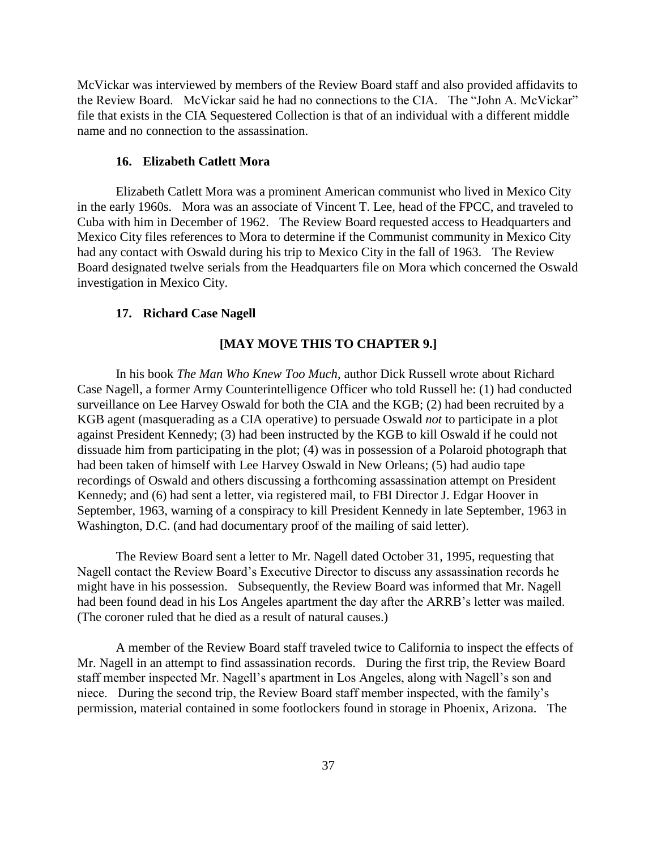McVickar was interviewed by members of the Review Board staff and also provided affidavits to the Review Board. McVickar said he had no connections to the CIA. The "John A. McVickar" file that exists in the CIA Sequestered Collection is that of an individual with a different middle name and no connection to the assassination.

## **16. Elizabeth Catlett Mora**

Elizabeth Catlett Mora was a prominent American communist who lived in Mexico City in the early 1960s. Mora was an associate of Vincent T. Lee, head of the FPCC, and traveled to Cuba with him in December of 1962. The Review Board requested access to Headquarters and Mexico City files references to Mora to determine if the Communist community in Mexico City had any contact with Oswald during his trip to Mexico City in the fall of 1963. The Review Board designated twelve serials from the Headquarters file on Mora which concerned the Oswald investigation in Mexico City.

## **17. Richard Case Nagell**

## **[MAY MOVE THIS TO CHAPTER 9.]**

In his book *The Man Who Knew Too Much*, author Dick Russell wrote about Richard Case Nagell, a former Army Counterintelligence Officer who told Russell he: (1) had conducted surveillance on Lee Harvey Oswald for both the CIA and the KGB; (2) had been recruited by a KGB agent (masquerading as a CIA operative) to persuade Oswald *not* to participate in a plot against President Kennedy; (3) had been instructed by the KGB to kill Oswald if he could not dissuade him from participating in the plot; (4) was in possession of a Polaroid photograph that had been taken of himself with Lee Harvey Oswald in New Orleans; (5) had audio tape recordings of Oswald and others discussing a forthcoming assassination attempt on President Kennedy; and (6) had sent a letter, via registered mail, to FBI Director J. Edgar Hoover in September, 1963, warning of a conspiracy to kill President Kennedy in late September, 1963 in Washington, D.C. (and had documentary proof of the mailing of said letter).

The Review Board sent a letter to Mr. Nagell dated October 31, 1995, requesting that Nagell contact the Review Board's Executive Director to discuss any assassination records he might have in his possession. Subsequently, the Review Board was informed that Mr. Nagell had been found dead in his Los Angeles apartment the day after the ARRB's letter was mailed. (The coroner ruled that he died as a result of natural causes.)

A member of the Review Board staff traveled twice to California to inspect the effects of Mr. Nagell in an attempt to find assassination records. During the first trip, the Review Board staff member inspected Mr. Nagell's apartment in Los Angeles, along with Nagell's son and niece. During the second trip, the Review Board staff member inspected, with the family's permission, material contained in some footlockers found in storage in Phoenix, Arizona. The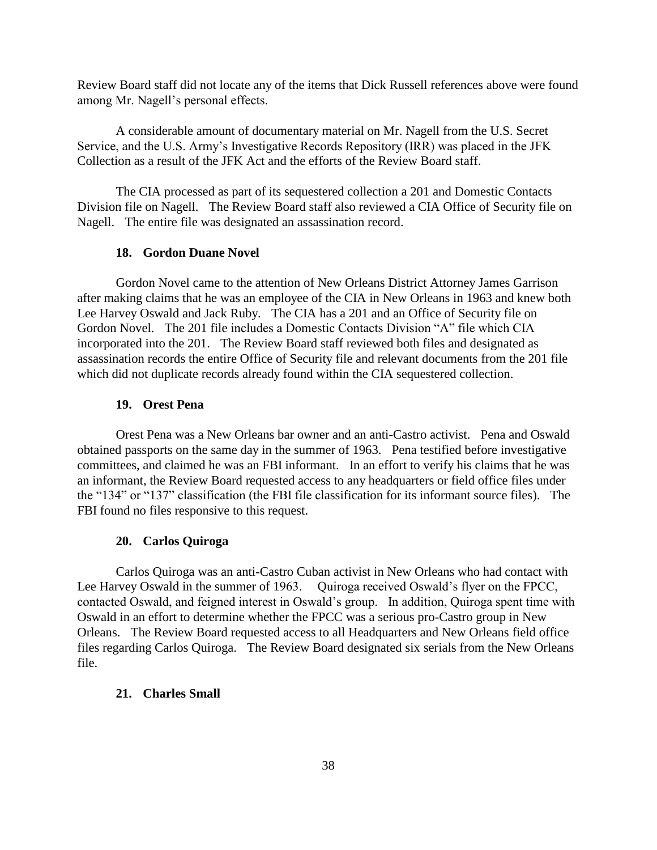Review Board staff did not locate any of the items that Dick Russell references above were found among Mr. Nagell's personal effects.

A considerable amount of documentary material on Mr. Nagell from the U.S. Secret Service, and the U.S. Army's Investigative Records Repository (IRR) was placed in the JFK Collection as a result of the JFK Act and the efforts of the Review Board staff.

The CIA processed as part of its sequestered collection a 201 and Domestic Contacts Division file on Nagell. The Review Board staff also reviewed a CIA Office of Security file on Nagell. The entire file was designated an assassination record.

## **18. Gordon Duane Novel**

Gordon Novel came to the attention of New Orleans District Attorney James Garrison after making claims that he was an employee of the CIA in New Orleans in 1963 and knew both Lee Harvey Oswald and Jack Ruby. The CIA has a 201 and an Office of Security file on Gordon Novel. The 201 file includes a Domestic Contacts Division "A" file which CIA incorporated into the 201. The Review Board staff reviewed both files and designated as assassination records the entire Office of Security file and relevant documents from the 201 file which did not duplicate records already found within the CIA sequestered collection.

### **19. Orest Pena**

Orest Pena was a New Orleans bar owner and an anti-Castro activist. Pena and Oswald obtained passports on the same day in the summer of 1963. Pena testified before investigative committees, and claimed he was an FBI informant. In an effort to verify his claims that he was an informant, the Review Board requested access to any headquarters or field office files under the "134" or "137" classification (the FBI file classification for its informant source files). The FBI found no files responsive to this request.

#### **20. Carlos Quiroga**

Carlos Quiroga was an anti-Castro Cuban activist in New Orleans who had contact with Lee Harvey Oswald in the summer of 1963. Quiroga received Oswald's flyer on the FPCC, contacted Oswald, and feigned interest in Oswald's group. In addition, Quiroga spent time with Oswald in an effort to determine whether the FPCC was a serious pro-Castro group in New Orleans. The Review Board requested access to all Headquarters and New Orleans field office files regarding Carlos Quiroga. The Review Board designated six serials from the New Orleans file.

#### **21. Charles Small**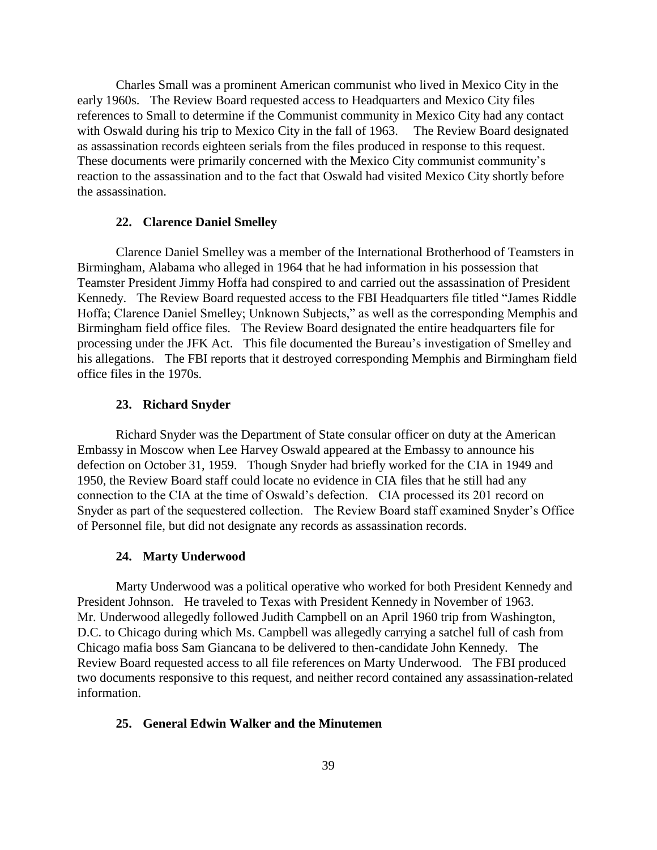Charles Small was a prominent American communist who lived in Mexico City in the early 1960s. The Review Board requested access to Headquarters and Mexico City files references to Small to determine if the Communist community in Mexico City had any contact with Oswald during his trip to Mexico City in the fall of 1963. The Review Board designated as assassination records eighteen serials from the files produced in response to this request. These documents were primarily concerned with the Mexico City communist community's reaction to the assassination and to the fact that Oswald had visited Mexico City shortly before the assassination.

## **22. Clarence Daniel Smelley**

Clarence Daniel Smelley was a member of the International Brotherhood of Teamsters in Birmingham, Alabama who alleged in 1964 that he had information in his possession that Teamster President Jimmy Hoffa had conspired to and carried out the assassination of President Kennedy. The Review Board requested access to the FBI Headquarters file titled "James Riddle Hoffa; Clarence Daniel Smelley; Unknown Subjects," as well as the corresponding Memphis and Birmingham field office files. The Review Board designated the entire headquarters file for processing under the JFK Act. This file documented the Bureau's investigation of Smelley and his allegations. The FBI reports that it destroyed corresponding Memphis and Birmingham field office files in the 1970s.

#### **23. Richard Snyder**

Richard Snyder was the Department of State consular officer on duty at the American Embassy in Moscow when Lee Harvey Oswald appeared at the Embassy to announce his defection on October 31, 1959. Though Snyder had briefly worked for the CIA in 1949 and 1950, the Review Board staff could locate no evidence in CIA files that he still had any connection to the CIA at the time of Oswald's defection. CIA processed its 201 record on Snyder as part of the sequestered collection. The Review Board staff examined Snyder's Office of Personnel file, but did not designate any records as assassination records.

#### **24. Marty Underwood**

Marty Underwood was a political operative who worked for both President Kennedy and President Johnson. He traveled to Texas with President Kennedy in November of 1963. Mr. Underwood allegedly followed Judith Campbell on an April 1960 trip from Washington, D.C. to Chicago during which Ms. Campbell was allegedly carrying a satchel full of cash from Chicago mafia boss Sam Giancana to be delivered to then-candidate John Kennedy. The Review Board requested access to all file references on Marty Underwood. The FBI produced two documents responsive to this request, and neither record contained any assassination-related information.

### **25. General Edwin Walker and the Minutemen**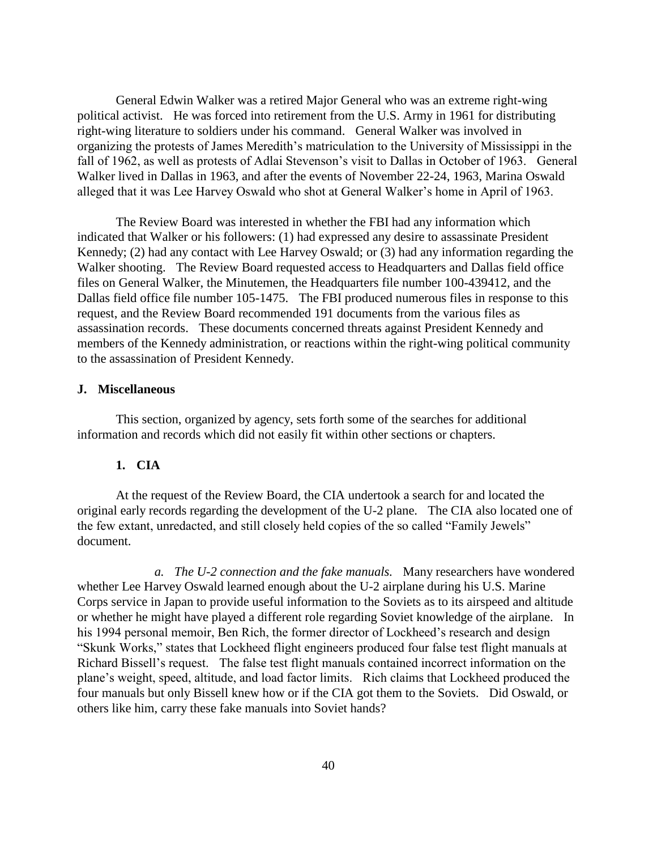General Edwin Walker was a retired Major General who was an extreme right-wing political activist. He was forced into retirement from the U.S. Army in 1961 for distributing right-wing literature to soldiers under his command. General Walker was involved in organizing the protests of James Meredith's matriculation to the University of Mississippi in the fall of 1962, as well as protests of Adlai Stevenson's visit to Dallas in October of 1963. General Walker lived in Dallas in 1963, and after the events of November 22-24, 1963, Marina Oswald alleged that it was Lee Harvey Oswald who shot at General Walker's home in April of 1963.

The Review Board was interested in whether the FBI had any information which indicated that Walker or his followers: (1) had expressed any desire to assassinate President Kennedy; (2) had any contact with Lee Harvey Oswald; or (3) had any information regarding the Walker shooting. The Review Board requested access to Headquarters and Dallas field office files on General Walker, the Minutemen, the Headquarters file number 100-439412, and the Dallas field office file number 105-1475. The FBI produced numerous files in response to this request, and the Review Board recommended 191 documents from the various files as assassination records. These documents concerned threats against President Kennedy and members of the Kennedy administration, or reactions within the right-wing political community to the assassination of President Kennedy.

## **J. Miscellaneous**

This section, organized by agency, sets forth some of the searches for additional information and records which did not easily fit within other sections or chapters.

## **1. CIA**

At the request of the Review Board, the CIA undertook a search for and located the original early records regarding the development of the U-2 plane. The CIA also located one of the few extant, unredacted, and still closely held copies of the so called "Family Jewels" document.

*a. The U-2 connection and the fake manuals.* Many researchers have wondered whether Lee Harvey Oswald learned enough about the U-2 airplane during his U.S. Marine Corps service in Japan to provide useful information to the Soviets as to its airspeed and altitude or whether he might have played a different role regarding Soviet knowledge of the airplane. In his 1994 personal memoir, Ben Rich, the former director of Lockheed's research and design "Skunk Works," states that Lockheed flight engineers produced four false test flight manuals at Richard Bissell's request. The false test flight manuals contained incorrect information on the plane's weight, speed, altitude, and load factor limits. Rich claims that Lockheed produced the four manuals but only Bissell knew how or if the CIA got them to the Soviets. Did Oswald, or others like him, carry these fake manuals into Soviet hands?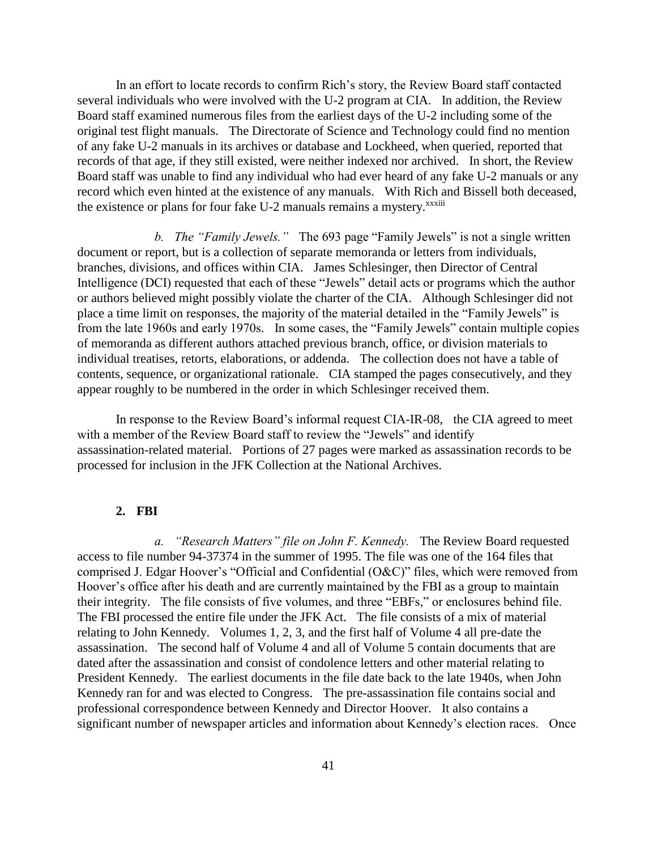In an effort to locate records to confirm Rich's story, the Review Board staff contacted several individuals who were involved with the U-2 program at CIA. In addition, the Review Board staff examined numerous files from the earliest days of the U-2 including some of the original test flight manuals. The Directorate of Science and Technology could find no mention of any fake U-2 manuals in its archives or database and Lockheed, when queried, reported that records of that age, if they still existed, were neither indexed nor archived. In short, the Review Board staff was unable to find any individual who had ever heard of any fake U-2 manuals or any record which even hinted at the existence of any manuals. With Rich and Bissell both deceased, the existence or plans for four fake U-2 manuals remains a mystery.<sup>xxxiii</sup>

*b. The "Family Jewels."* The 693 page "Family Jewels" is not a single written document or report, but is a collection of separate memoranda or letters from individuals, branches, divisions, and offices within CIA. James Schlesinger, then Director of Central Intelligence (DCI) requested that each of these "Jewels" detail acts or programs which the author or authors believed might possibly violate the charter of the CIA. Although Schlesinger did not place a time limit on responses, the majority of the material detailed in the "Family Jewels" is from the late 1960s and early 1970s. In some cases, the "Family Jewels" contain multiple copies of memoranda as different authors attached previous branch, office, or division materials to individual treatises, retorts, elaborations, or addenda. The collection does not have a table of contents, sequence, or organizational rationale. CIA stamped the pages consecutively, and they appear roughly to be numbered in the order in which Schlesinger received them.

In response to the Review Board's informal request CIA-IR-08, the CIA agreed to meet with a member of the Review Board staff to review the "Jewels" and identify assassination-related material. Portions of 27 pages were marked as assassination records to be processed for inclusion in the JFK Collection at the National Archives.

### **2. FBI**

*a. "Research Matters" file on John F. Kennedy.* The Review Board requested access to file number 94-37374 in the summer of 1995. The file was one of the 164 files that comprised J. Edgar Hoover's "Official and Confidential (O&C)" files, which were removed from Hoover's office after his death and are currently maintained by the FBI as a group to maintain their integrity. The file consists of five volumes, and three "EBFs," or enclosures behind file. The FBI processed the entire file under the JFK Act. The file consists of a mix of material relating to John Kennedy. Volumes 1, 2, 3, and the first half of Volume 4 all pre-date the assassination. The second half of Volume 4 and all of Volume 5 contain documents that are dated after the assassination and consist of condolence letters and other material relating to President Kennedy. The earliest documents in the file date back to the late 1940s, when John Kennedy ran for and was elected to Congress. The pre-assassination file contains social and professional correspondence between Kennedy and Director Hoover. It also contains a significant number of newspaper articles and information about Kennedy's election races. Once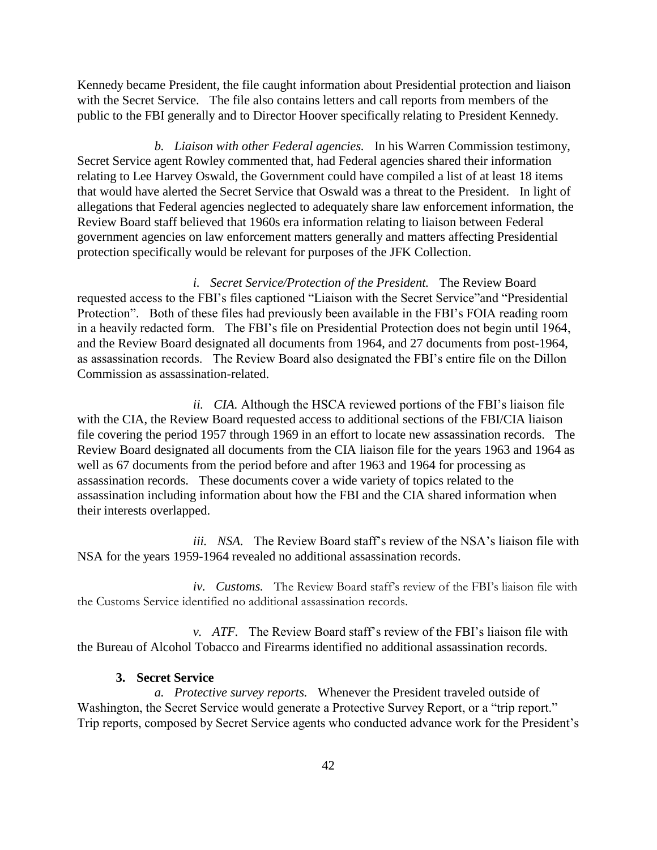Kennedy became President, the file caught information about Presidential protection and liaison with the Secret Service. The file also contains letters and call reports from members of the public to the FBI generally and to Director Hoover specifically relating to President Kennedy.

*b. Liaison with other Federal agencies.* In his Warren Commission testimony, Secret Service agent Rowley commented that, had Federal agencies shared their information relating to Lee Harvey Oswald, the Government could have compiled a list of at least 18 items that would have alerted the Secret Service that Oswald was a threat to the President. In light of allegations that Federal agencies neglected to adequately share law enforcement information, the Review Board staff believed that 1960s era information relating to liaison between Federal government agencies on law enforcement matters generally and matters affecting Presidential protection specifically would be relevant for purposes of the JFK Collection.

*i. Secret Service/Protection of the President.* The Review Board requested access to the FBI's files captioned "Liaison with the Secret Service"and "Presidential Protection". Both of these files had previously been available in the FBI's FOIA reading room in a heavily redacted form. The FBI's file on Presidential Protection does not begin until 1964, and the Review Board designated all documents from 1964, and 27 documents from post-1964, as assassination records. The Review Board also designated the FBI's entire file on the Dillon Commission as assassination-related.

*ii. CIA.* Although the HSCA reviewed portions of the FBI's liaison file with the CIA, the Review Board requested access to additional sections of the FBI/CIA liaison file covering the period 1957 through 1969 in an effort to locate new assassination records. The Review Board designated all documents from the CIA liaison file for the years 1963 and 1964 as well as 67 documents from the period before and after 1963 and 1964 for processing as assassination records. These documents cover a wide variety of topics related to the assassination including information about how the FBI and the CIA shared information when their interests overlapped.

*iii. NSA.* The Review Board staff's review of the NSA's liaison file with NSA for the years 1959-1964 revealed no additional assassination records.

*iv. Customs.* The Review Board staff's review of the FBI's liaison file with the Customs Service identified no additional assassination records.

*v. ATF.* The Review Board staff's review of the FBI's liaison file with the Bureau of Alcohol Tobacco and Firearms identified no additional assassination records.

## **3. Secret Service**

*a. Protective survey reports.* Whenever the President traveled outside of Washington, the Secret Service would generate a Protective Survey Report, or a "trip report." Trip reports, composed by Secret Service agents who conducted advance work for the President's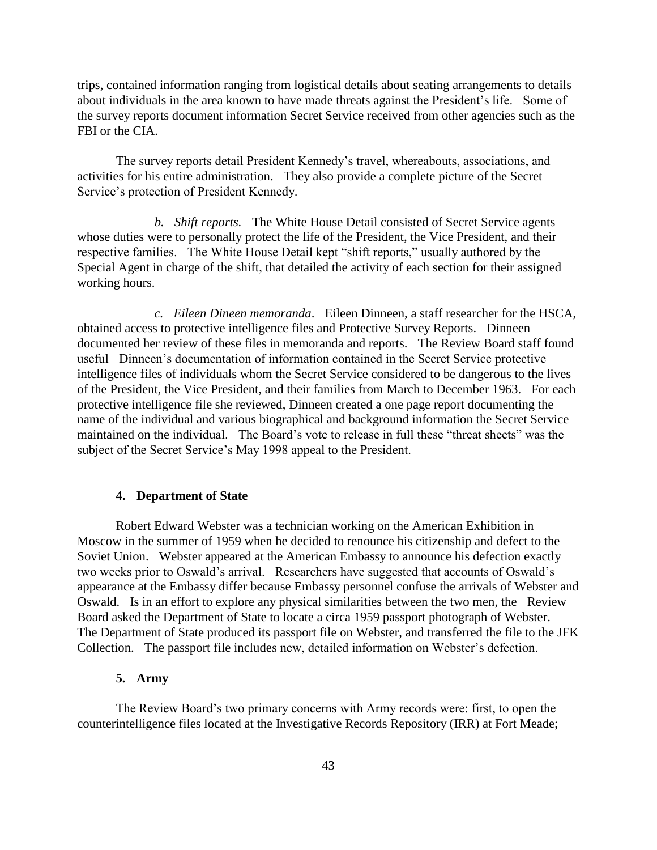trips, contained information ranging from logistical details about seating arrangements to details about individuals in the area known to have made threats against the President's life. Some of the survey reports document information Secret Service received from other agencies such as the FBI or the CIA.

The survey reports detail President Kennedy's travel, whereabouts, associations, and activities for his entire administration. They also provide a complete picture of the Secret Service's protection of President Kennedy.

*b. Shift reports.* The White House Detail consisted of Secret Service agents whose duties were to personally protect the life of the President, the Vice President, and their respective families. The White House Detail kept "shift reports," usually authored by the Special Agent in charge of the shift, that detailed the activity of each section for their assigned working hours.

*c. Eileen Dineen memoranda*. Eileen Dinneen, a staff researcher for the HSCA, obtained access to protective intelligence files and Protective Survey Reports. Dinneen documented her review of these files in memoranda and reports. The Review Board staff found useful Dinneen's documentation of information contained in the Secret Service protective intelligence files of individuals whom the Secret Service considered to be dangerous to the lives of the President, the Vice President, and their families from March to December 1963. For each protective intelligence file she reviewed, Dinneen created a one page report documenting the name of the individual and various biographical and background information the Secret Service maintained on the individual. The Board's vote to release in full these "threat sheets" was the subject of the Secret Service's May 1998 appeal to the President.

## **4. Department of State**

Robert Edward Webster was a technician working on the American Exhibition in Moscow in the summer of 1959 when he decided to renounce his citizenship and defect to the Soviet Union. Webster appeared at the American Embassy to announce his defection exactly two weeks prior to Oswald's arrival. Researchers have suggested that accounts of Oswald's appearance at the Embassy differ because Embassy personnel confuse the arrivals of Webster and Oswald. Is in an effort to explore any physical similarities between the two men, the Review Board asked the Department of State to locate a circa 1959 passport photograph of Webster. The Department of State produced its passport file on Webster, and transferred the file to the JFK Collection. The passport file includes new, detailed information on Webster's defection.

## **5. Army**

The Review Board's two primary concerns with Army records were: first, to open the counterintelligence files located at the Investigative Records Repository (IRR) at Fort Meade;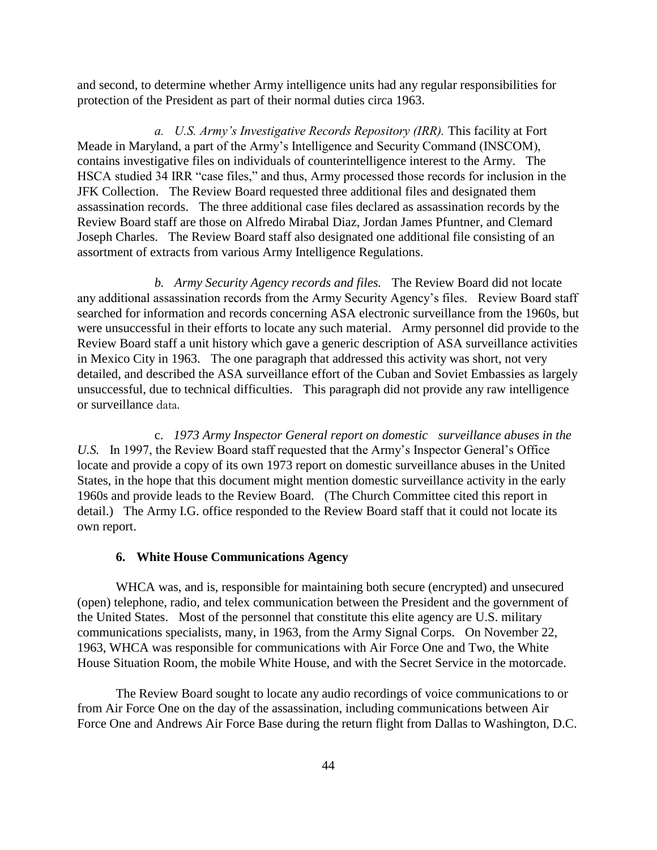and second, to determine whether Army intelligence units had any regular responsibilities for protection of the President as part of their normal duties circa 1963.

*a. U.S. Army's Investigative Records Repository (IRR).* This facility at Fort Meade in Maryland, a part of the Army's Intelligence and Security Command (INSCOM), contains investigative files on individuals of counterintelligence interest to the Army. The HSCA studied 34 IRR "case files," and thus, Army processed those records for inclusion in the JFK Collection. The Review Board requested three additional files and designated them assassination records. The three additional case files declared as assassination records by the Review Board staff are those on Alfredo Mirabal Diaz, Jordan James Pfuntner, and Clemard Joseph Charles. The Review Board staff also designated one additional file consisting of an assortment of extracts from various Army Intelligence Regulations.

*b. Army Security Agency records and files.* The Review Board did not locate any additional assassination records from the Army Security Agency's files. Review Board staff searched for information and records concerning ASA electronic surveillance from the 1960s, but were unsuccessful in their efforts to locate any such material. Army personnel did provide to the Review Board staff a unit history which gave a generic description of ASA surveillance activities in Mexico City in 1963. The one paragraph that addressed this activity was short, not very detailed, and described the ASA surveillance effort of the Cuban and Soviet Embassies as largely unsuccessful, due to technical difficulties. This paragraph did not provide any raw intelligence or surveillance data.

c. *1973 Army Inspector General report on domestic surveillance abuses in the U.S.* In 1997, the Review Board staff requested that the Army's Inspector General's Office locate and provide a copy of its own 1973 report on domestic surveillance abuses in the United States, in the hope that this document might mention domestic surveillance activity in the early 1960s and provide leads to the Review Board. (The Church Committee cited this report in detail.) The Army I.G. office responded to the Review Board staff that it could not locate its own report.

## **6. White House Communications Agency**

WHCA was, and is, responsible for maintaining both secure (encrypted) and unsecured (open) telephone, radio, and telex communication between the President and the government of the United States. Most of the personnel that constitute this elite agency are U.S. military communications specialists, many, in 1963, from the Army Signal Corps. On November 22, 1963, WHCA was responsible for communications with Air Force One and Two, the White House Situation Room, the mobile White House, and with the Secret Service in the motorcade.

The Review Board sought to locate any audio recordings of voice communications to or from Air Force One on the day of the assassination, including communications between Air Force One and Andrews Air Force Base during the return flight from Dallas to Washington, D.C.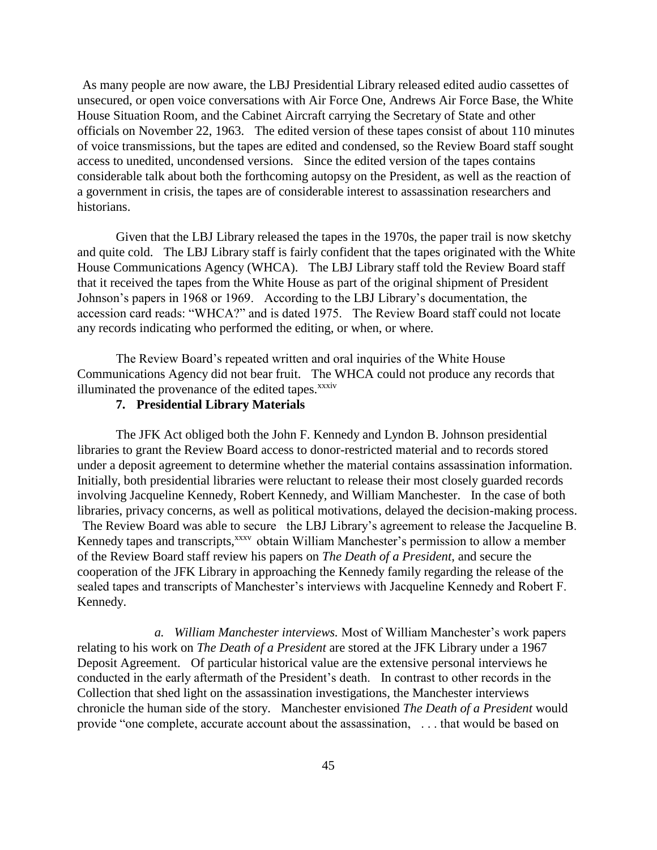As many people are now aware, the LBJ Presidential Library released edited audio cassettes of unsecured, or open voice conversations with Air Force One, Andrews Air Force Base, the White House Situation Room, and the Cabinet Aircraft carrying the Secretary of State and other officials on November 22, 1963. The edited version of these tapes consist of about 110 minutes of voice transmissions, but the tapes are edited and condensed, so the Review Board staff sought access to unedited, uncondensed versions. Since the edited version of the tapes contains considerable talk about both the forthcoming autopsy on the President, as well as the reaction of a government in crisis, the tapes are of considerable interest to assassination researchers and historians.

Given that the LBJ Library released the tapes in the 1970s, the paper trail is now sketchy and quite cold. The LBJ Library staff is fairly confident that the tapes originated with the White House Communications Agency (WHCA). The LBJ Library staff told the Review Board staff that it received the tapes from the White House as part of the original shipment of President Johnson's papers in 1968 or 1969. According to the LBJ Library's documentation, the accession card reads: "WHCA?" and is dated 1975. The Review Board staff could not locate any records indicating who performed the editing, or when, or where.

The Review Board's repeated written and oral inquiries of the White House Communications Agency did not bear fruit. The WHCA could not produce any records that illuminated the provenance of the edited tapes.<sup>xxxiv</sup>

## **7. Presidential Library Materials**

The JFK Act obliged both the John F. Kennedy and Lyndon B. Johnson presidential libraries to grant the Review Board access to donor-restricted material and to records stored under a deposit agreement to determine whether the material contains assassination information. Initially, both presidential libraries were reluctant to release their most closely guarded records involving Jacqueline Kennedy, Robert Kennedy, and William Manchester. In the case of both libraries, privacy concerns, as well as political motivations, delayed the decision-making process. The Review Board was able to secure the LBJ Library's agreement to release the Jacqueline B.

Kennedy tapes and transcripts,<sup>xxxv</sup> obtain William Manchester's permission to allow a member of the Review Board staff review his papers on *The Death of a President*, and secure the cooperation of the JFK Library in approaching the Kennedy family regarding the release of the sealed tapes and transcripts of Manchester's interviews with Jacqueline Kennedy and Robert F. Kennedy.

*a. William Manchester interviews.* Most of William Manchester's work papers relating to his work on *The Death of a President* are stored at the JFK Library under a 1967 Deposit Agreement. Of particular historical value are the extensive personal interviews he conducted in the early aftermath of the President's death. In contrast to other records in the Collection that shed light on the assassination investigations, the Manchester interviews chronicle the human side of the story. Manchester envisioned *The Death of a President* would provide "one complete, accurate account about the assassination, . . . that would be based on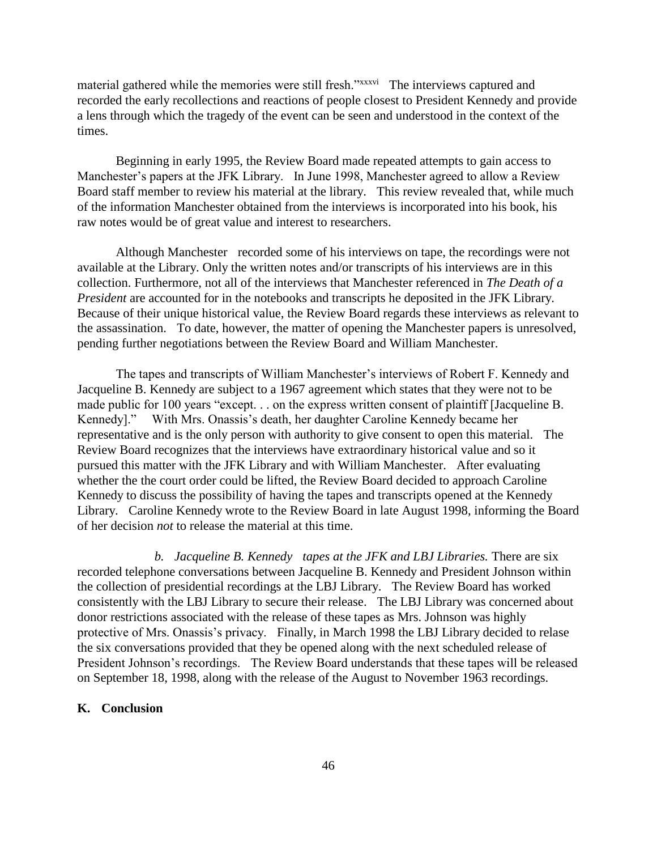material gathered while the memories were still fresh."xxxvi The interviews captured and recorded the early recollections and reactions of people closest to President Kennedy and provide a lens through which the tragedy of the event can be seen and understood in the context of the times.

Beginning in early 1995, the Review Board made repeated attempts to gain access to Manchester's papers at the JFK Library. In June 1998, Manchester agreed to allow a Review Board staff member to review his material at the library. This review revealed that, while much of the information Manchester obtained from the interviews is incorporated into his book, his raw notes would be of great value and interest to researchers.

Although Manchester recorded some of his interviews on tape, the recordings were not available at the Library. Only the written notes and/or transcripts of his interviews are in this collection. Furthermore, not all of the interviews that Manchester referenced in *The Death of a President* are accounted for in the notebooks and transcripts he deposited in the JFK Library. Because of their unique historical value, the Review Board regards these interviews as relevant to the assassination. To date, however, the matter of opening the Manchester papers is unresolved, pending further negotiations between the Review Board and William Manchester.

The tapes and transcripts of William Manchester's interviews of Robert F. Kennedy and Jacqueline B. Kennedy are subject to a 1967 agreement which states that they were not to be made public for 100 years "except. . . on the express written consent of plaintiff [Jacqueline B. Kennedy]." With Mrs. Onassis's death, her daughter Caroline Kennedy became her representative and is the only person with authority to give consent to open this material. The Review Board recognizes that the interviews have extraordinary historical value and so it pursued this matter with the JFK Library and with William Manchester. After evaluating whether the the court order could be lifted, the Review Board decided to approach Caroline Kennedy to discuss the possibility of having the tapes and transcripts opened at the Kennedy Library. Caroline Kennedy wrote to the Review Board in late August 1998, informing the Board of her decision *not* to release the material at this time.

*b. Jacqueline B. Kennedy tapes at the JFK and LBJ Libraries.* There are six recorded telephone conversations between Jacqueline B. Kennedy and President Johnson within the collection of presidential recordings at the LBJ Library. The Review Board has worked consistently with the LBJ Library to secure their release. The LBJ Library was concerned about donor restrictions associated with the release of these tapes as Mrs. Johnson was highly protective of Mrs. Onassis's privacy. Finally, in March 1998 the LBJ Library decided to relase the six conversations provided that they be opened along with the next scheduled release of President Johnson's recordings. The Review Board understands that these tapes will be released on September 18, 1998, along with the release of the August to November 1963 recordings.

## **K. Conclusion**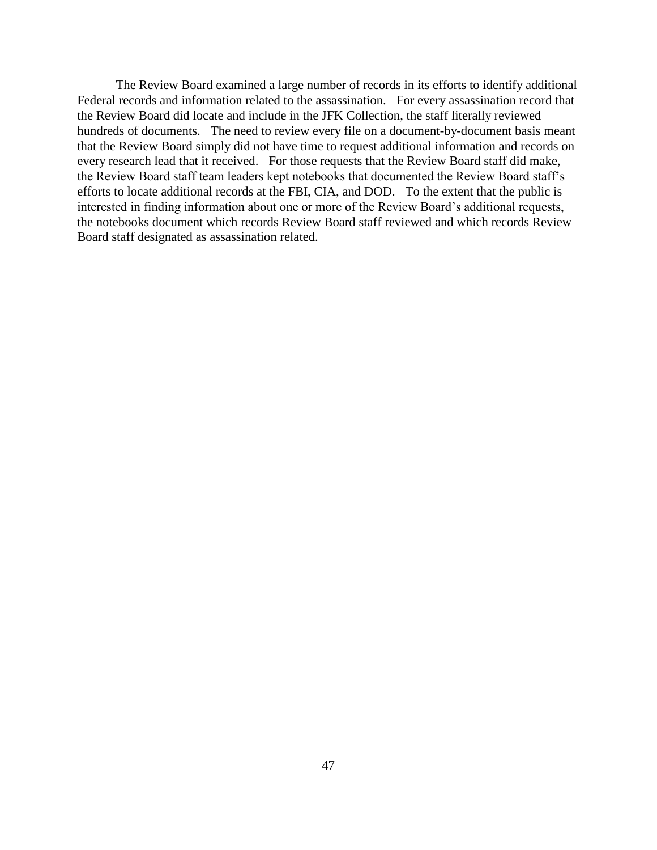The Review Board examined a large number of records in its efforts to identify additional Federal records and information related to the assassination. For every assassination record that the Review Board did locate and include in the JFK Collection, the staff literally reviewed hundreds of documents. The need to review every file on a document-by-document basis meant that the Review Board simply did not have time to request additional information and records on every research lead that it received. For those requests that the Review Board staff did make, the Review Board staff team leaders kept notebooks that documented the Review Board staff's efforts to locate additional records at the FBI, CIA, and DOD. To the extent that the public is interested in finding information about one or more of the Review Board's additional requests, the notebooks document which records Review Board staff reviewed and which records Review Board staff designated as assassination related.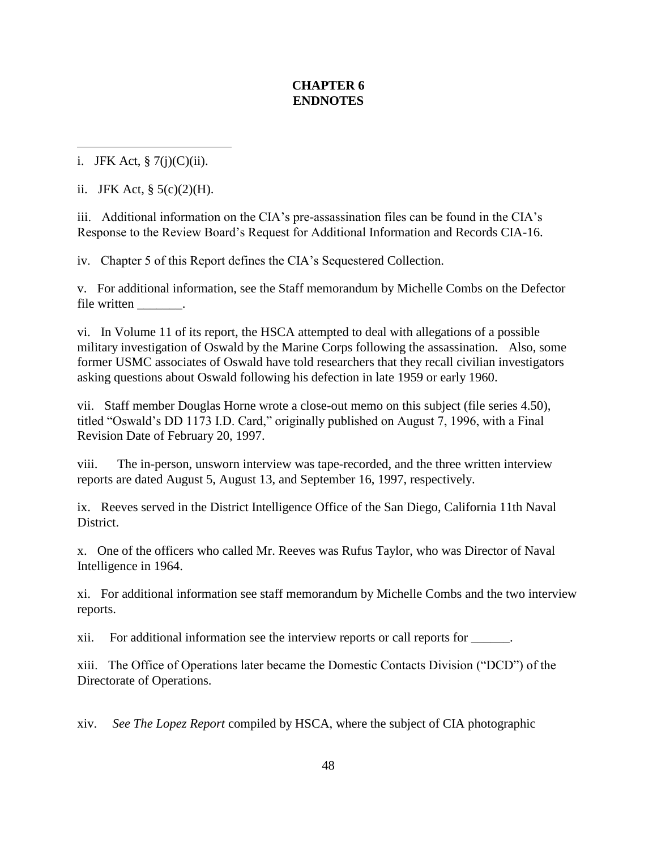# **CHAPTER 6 ENDNOTES**

 $\overline{a}$ i. JFK Act,  $\S$  7(j)(C)(ii).

ii. JFK Act,  $\S$  5(c)(2)(H).

iii. Additional information on the CIA's pre-assassination files can be found in the CIA's Response to the Review Board's Request for Additional Information and Records CIA-16.

iv. Chapter 5 of this Report defines the CIA's Sequestered Collection.

v. For additional information, see the Staff memorandum by Michelle Combs on the Defector file written \_\_\_\_\_\_\_.

vi. In Volume 11 of its report, the HSCA attempted to deal with allegations of a possible military investigation of Oswald by the Marine Corps following the assassination. Also, some former USMC associates of Oswald have told researchers that they recall civilian investigators asking questions about Oswald following his defection in late 1959 or early 1960.

vii. Staff member Douglas Horne wrote a close-out memo on this subject (file series 4.50), titled "Oswald's DD 1173 I.D. Card," originally published on August 7, 1996, with a Final Revision Date of February 20, 1997.

viii. The in-person, unsworn interview was tape-recorded, and the three written interview reports are dated August 5, August 13, and September 16, 1997, respectively.

ix. Reeves served in the District Intelligence Office of the San Diego, California 11th Naval District.

x. One of the officers who called Mr. Reeves was Rufus Taylor, who was Director of Naval Intelligence in 1964.

xi. For additional information see staff memorandum by Michelle Combs and the two interview reports.

xii. For additional information see the interview reports or call reports for \_\_\_\_\_\_.

xiii. The Office of Operations later became the Domestic Contacts Division ("DCD") of the Directorate of Operations.

xiv. *See The Lopez Report* compiled by HSCA, where the subject of CIA photographic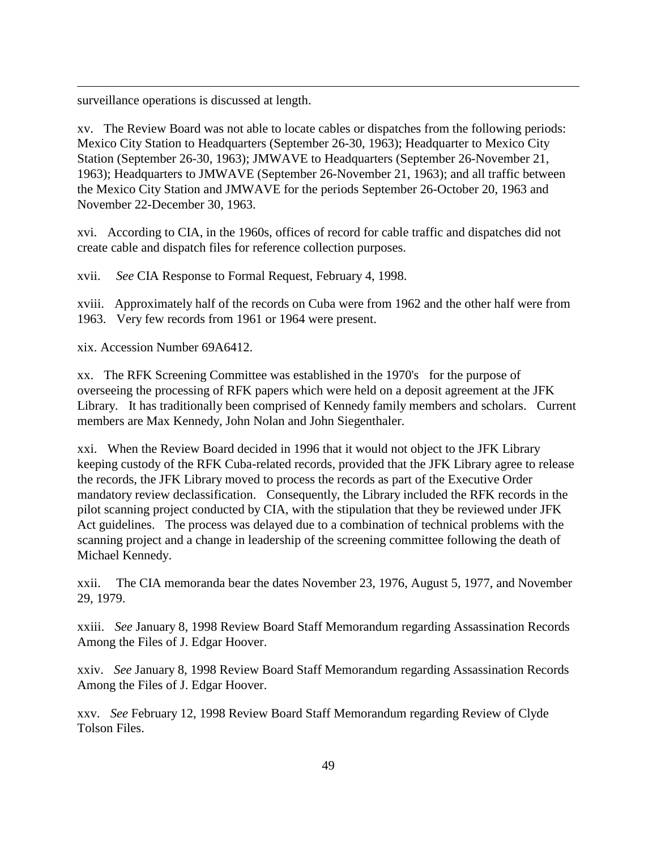surveillance operations is discussed at length.

 $\overline{a}$ 

xv. The Review Board was not able to locate cables or dispatches from the following periods: Mexico City Station to Headquarters (September 26-30, 1963); Headquarter to Mexico City Station (September 26-30, 1963); JMWAVE to Headquarters (September 26-November 21, 1963); Headquarters to JMWAVE (September 26-November 21, 1963); and all traffic between the Mexico City Station and JMWAVE for the periods September 26-October 20, 1963 and November 22-December 30, 1963.

xvi. According to CIA, in the 1960s, offices of record for cable traffic and dispatches did not create cable and dispatch files for reference collection purposes.

xvii. *See* CIA Response to Formal Request, February 4, 1998.

xviii. Approximately half of the records on Cuba were from 1962 and the other half were from 1963. Very few records from 1961 or 1964 were present.

xix. Accession Number 69A6412.

xx. The RFK Screening Committee was established in the 1970's for the purpose of overseeing the processing of RFK papers which were held on a deposit agreement at the JFK Library. It has traditionally been comprised of Kennedy family members and scholars. Current members are Max Kennedy, John Nolan and John Siegenthaler.

xxi. When the Review Board decided in 1996 that it would not object to the JFK Library keeping custody of the RFK Cuba-related records, provided that the JFK Library agree to release the records, the JFK Library moved to process the records as part of the Executive Order mandatory review declassification. Consequently, the Library included the RFK records in the pilot scanning project conducted by CIA, with the stipulation that they be reviewed under JFK Act guidelines. The process was delayed due to a combination of technical problems with the scanning project and a change in leadership of the screening committee following the death of Michael Kennedy.

xxii. The CIA memoranda bear the dates November 23, 1976, August 5, 1977, and November 29, 1979.

xxiii. *See* January 8, 1998 Review Board Staff Memorandum regarding Assassination Records Among the Files of J. Edgar Hoover.

xxiv. *See* January 8, 1998 Review Board Staff Memorandum regarding Assassination Records Among the Files of J. Edgar Hoover.

xxv. *See* February 12, 1998 Review Board Staff Memorandum regarding Review of Clyde Tolson Files.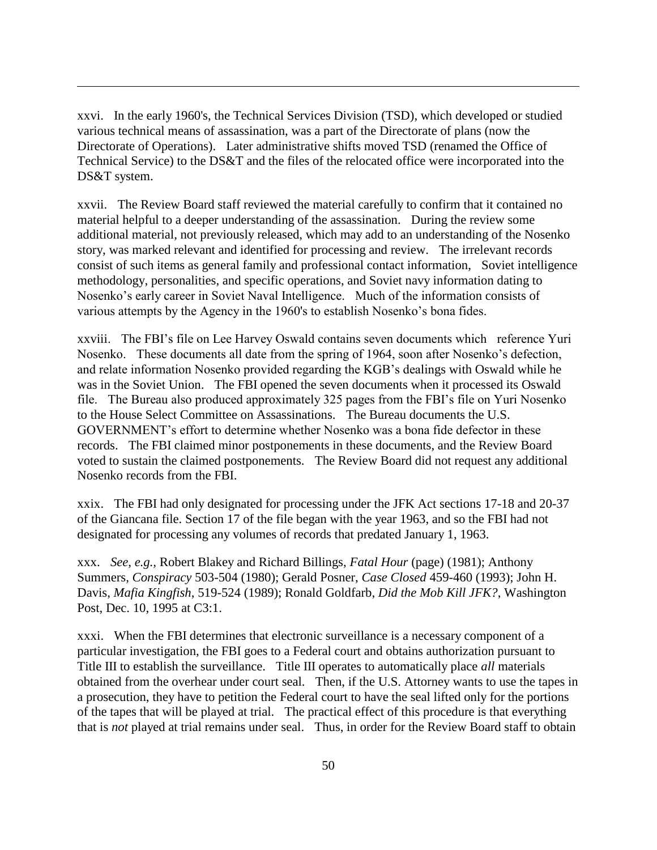xxvi. In the early 1960's, the Technical Services Division (TSD), which developed or studied various technical means of assassination, was a part of the Directorate of plans (now the Directorate of Operations). Later administrative shifts moved TSD (renamed the Office of Technical Service) to the DS&T and the files of the relocated office were incorporated into the DS&T system.

 $\overline{a}$ 

xxvii. The Review Board staff reviewed the material carefully to confirm that it contained no material helpful to a deeper understanding of the assassination. During the review some additional material, not previously released, which may add to an understanding of the Nosenko story, was marked relevant and identified for processing and review. The irrelevant records consist of such items as general family and professional contact information, Soviet intelligence methodology, personalities, and specific operations, and Soviet navy information dating to Nosenko's early career in Soviet Naval Intelligence. Much of the information consists of various attempts by the Agency in the 1960's to establish Nosenko's bona fides.

xxviii. The FBI's file on Lee Harvey Oswald contains seven documents which reference Yuri Nosenko. These documents all date from the spring of 1964, soon after Nosenko's defection, and relate information Nosenko provided regarding the KGB's dealings with Oswald while he was in the Soviet Union. The FBI opened the seven documents when it processed its Oswald file. The Bureau also produced approximately 325 pages from the FBI's file on Yuri Nosenko to the House Select Committee on Assassinations. The Bureau documents the U.S. GOVERNMENT's effort to determine whether Nosenko was a bona fide defector in these records. The FBI claimed minor postponements in these documents, and the Review Board voted to sustain the claimed postponements. The Review Board did not request any additional Nosenko records from the FBI.

xxix. The FBI had only designated for processing under the JFK Act sections 17-18 and 20-37 of the Giancana file. Section 17 of the file began with the year 1963, and so the FBI had not designated for processing any volumes of records that predated January 1, 1963.

xxx. *See*, *e.g.,* Robert Blakey and Richard Billings, *Fatal Hour* (page) (1981); Anthony Summers, *Conspiracy* 503-504 (1980); Gerald Posner, *Case Closed* 459-460 (1993); John H. Davis, *Mafia Kingfish*, 519-524 (1989); Ronald Goldfarb, *Did the Mob Kill JFK?*, Washington Post, Dec. 10, 1995 at C3:1.

xxxi. When the FBI determines that electronic surveillance is a necessary component of a particular investigation, the FBI goes to a Federal court and obtains authorization pursuant to Title III to establish the surveillance. Title III operates to automatically place *all* materials obtained from the overhear under court seal. Then, if the U.S. Attorney wants to use the tapes in a prosecution, they have to petition the Federal court to have the seal lifted only for the portions of the tapes that will be played at trial. The practical effect of this procedure is that everything that is *not* played at trial remains under seal. Thus, in order for the Review Board staff to obtain